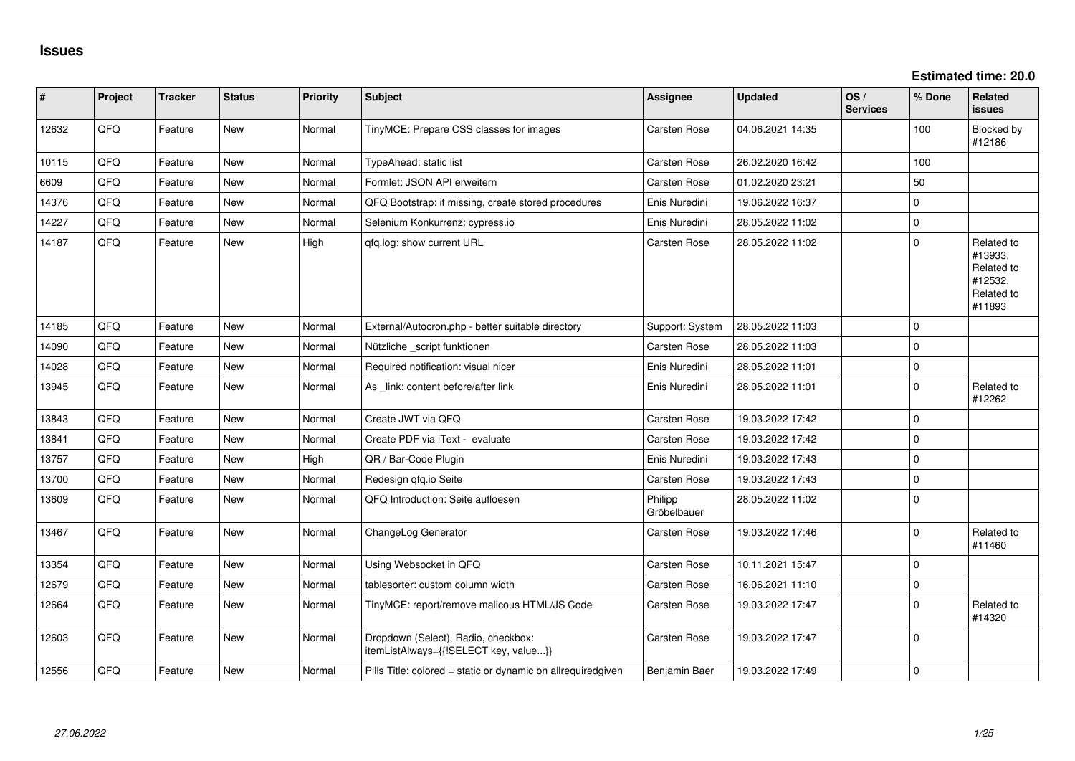**Estimated time: 20.0**

| $\sharp$ | Project | <b>Tracker</b> | <b>Status</b> | <b>Priority</b> | <b>Subject</b>                                                               | <b>Assignee</b>        | <b>Updated</b>   | OS/<br><b>Services</b> | % Done      | Related<br>issues                                                      |
|----------|---------|----------------|---------------|-----------------|------------------------------------------------------------------------------|------------------------|------------------|------------------------|-------------|------------------------------------------------------------------------|
| 12632    | QFQ     | Feature        | New           | Normal          | TinyMCE: Prepare CSS classes for images                                      | Carsten Rose           | 04.06.2021 14:35 |                        | 100         | Blocked by<br>#12186                                                   |
| 10115    | QFQ     | Feature        | <b>New</b>    | Normal          | TypeAhead: static list                                                       | Carsten Rose           | 26.02.2020 16:42 |                        | 100         |                                                                        |
| 6609     | QFQ     | Feature        | New           | Normal          | Formlet: JSON API erweitern                                                  | Carsten Rose           | 01.02.2020 23:21 |                        | 50          |                                                                        |
| 14376    | QFQ     | Feature        | New           | Normal          | QFQ Bootstrap: if missing, create stored procedures                          | Enis Nuredini          | 19.06.2022 16:37 |                        | 0           |                                                                        |
| 14227    | QFQ     | Feature        | New           | Normal          | Selenium Konkurrenz: cypress.io                                              | Enis Nuredini          | 28.05.2022 11:02 |                        | $\pmb{0}$   |                                                                        |
| 14187    | QFQ     | Feature        | New           | High            | qfq.log: show current URL                                                    | Carsten Rose           | 28.05.2022 11:02 |                        | $\mathbf 0$ | Related to<br>#13933,<br>Related to<br>#12532,<br>Related to<br>#11893 |
| 14185    | QFQ     | Feature        | <b>New</b>    | Normal          | External/Autocron.php - better suitable directory                            | Support: System        | 28.05.2022 11:03 |                        | $\mathbf 0$ |                                                                        |
| 14090    | QFQ     | Feature        | <b>New</b>    | Normal          | Nützliche _script funktionen                                                 | Carsten Rose           | 28.05.2022 11:03 |                        | $\mathbf 0$ |                                                                        |
| 14028    | QFQ     | Feature        | <b>New</b>    | Normal          | Required notification: visual nicer                                          | Enis Nuredini          | 28.05.2022 11:01 |                        | $\pmb{0}$   |                                                                        |
| 13945    | QFQ     | Feature        | New           | Normal          | As link: content before/after link                                           | Enis Nuredini          | 28.05.2022 11:01 |                        | $\mathbf 0$ | Related to<br>#12262                                                   |
| 13843    | QFQ     | Feature        | <b>New</b>    | Normal          | Create JWT via QFQ                                                           | Carsten Rose           | 19.03.2022 17:42 |                        | $\mathbf 0$ |                                                                        |
| 13841    | QFQ     | Feature        | New           | Normal          | Create PDF via iText - evaluate                                              | Carsten Rose           | 19.03.2022 17:42 |                        | 0           |                                                                        |
| 13757    | QFQ     | Feature        | New           | High            | QR / Bar-Code Plugin                                                         | Enis Nuredini          | 19.03.2022 17:43 |                        | 0           |                                                                        |
| 13700    | QFQ     | Feature        | <b>New</b>    | Normal          | Redesign qfq.io Seite                                                        | Carsten Rose           | 19.03.2022 17:43 |                        | $\mathbf 0$ |                                                                        |
| 13609    | QFQ     | Feature        | New           | Normal          | QFQ Introduction: Seite aufloesen                                            | Philipp<br>Gröbelbauer | 28.05.2022 11:02 |                        | $\pmb{0}$   |                                                                        |
| 13467    | QFQ     | Feature        | New           | Normal          | ChangeLog Generator                                                          | Carsten Rose           | 19.03.2022 17:46 |                        | $\pmb{0}$   | Related to<br>#11460                                                   |
| 13354    | QFQ     | Feature        | <b>New</b>    | Normal          | Using Websocket in QFQ                                                       | Carsten Rose           | 10.11.2021 15:47 |                        | $\mathbf 0$ |                                                                        |
| 12679    | QFQ     | Feature        | New           | Normal          | tablesorter: custom column width                                             | Carsten Rose           | 16.06.2021 11:10 |                        | $\mathbf 0$ |                                                                        |
| 12664    | QFQ     | Feature        | New           | Normal          | TinyMCE: report/remove malicous HTML/JS Code                                 | Carsten Rose           | 19.03.2022 17:47 |                        | $\mathbf 0$ | Related to<br>#14320                                                   |
| 12603    | QFQ     | Feature        | New           | Normal          | Dropdown (Select), Radio, checkbox:<br>itemListAlways={{!SELECT key, value}} | Carsten Rose           | 19.03.2022 17:47 |                        | $\mathbf 0$ |                                                                        |
| 12556    | QFQ     | Feature        | New           | Normal          | Pills Title: colored = static or dynamic on allrequiredgiven                 | Benjamin Baer          | 19.03.2022 17:49 |                        | $\mathbf 0$ |                                                                        |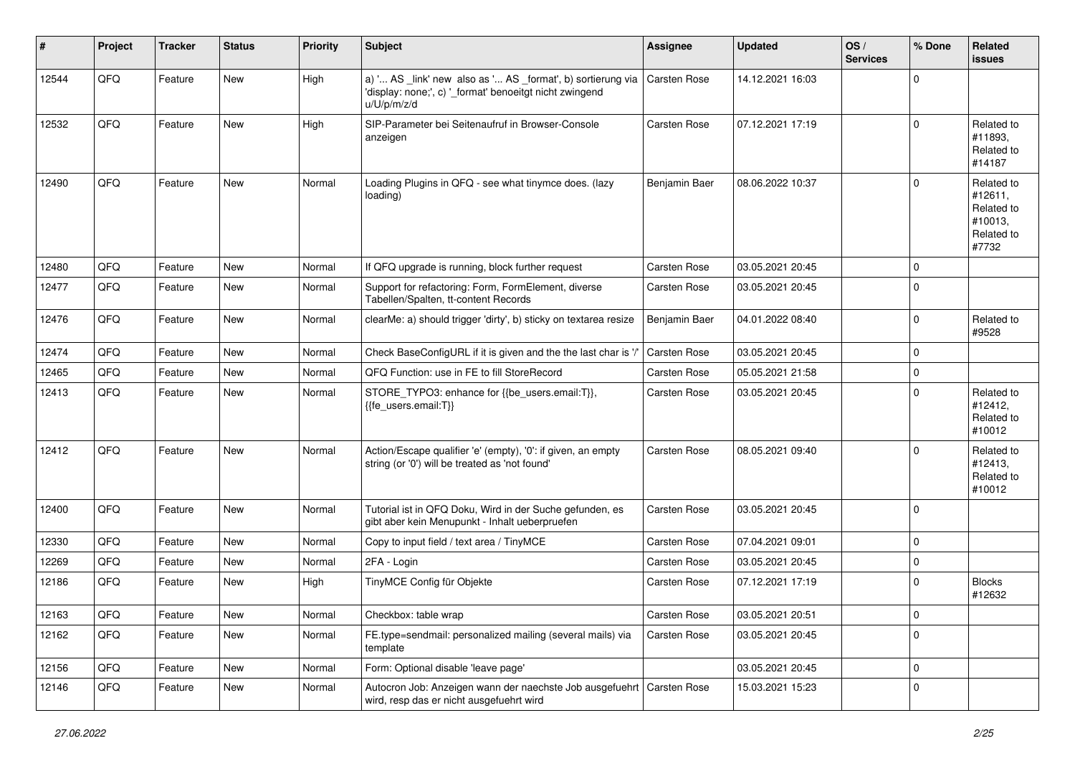| #     | Project | <b>Tracker</b> | <b>Status</b> | <b>Priority</b> | <b>Subject</b>                                                                                                                        | Assignee      | <b>Updated</b>   | OS/<br><b>Services</b> | % Done   | Related<br><b>issues</b>                                              |
|-------|---------|----------------|---------------|-----------------|---------------------------------------------------------------------------------------------------------------------------------------|---------------|------------------|------------------------|----------|-----------------------------------------------------------------------|
| 12544 | QFQ     | Feature        | New           | High            | a) ' AS _link' new also as ' AS _format', b) sortierung via<br>'display: none;', c) '_format' benoeitgt nicht zwingend<br>u/U/p/m/z/d | Carsten Rose  | 14.12.2021 16:03 |                        | 0        |                                                                       |
| 12532 | QFQ     | Feature        | <b>New</b>    | High            | SIP-Parameter bei Seitenaufruf in Browser-Console<br>anzeigen                                                                         | Carsten Rose  | 07.12.2021 17:19 |                        | 0        | Related to<br>#11893,<br>Related to<br>#14187                         |
| 12490 | QFQ     | Feature        | <b>New</b>    | Normal          | Loading Plugins in QFQ - see what tinymce does. (lazy<br>loading)                                                                     | Benjamin Baer | 08.06.2022 10:37 |                        | $\Omega$ | Related to<br>#12611,<br>Related to<br>#10013,<br>Related to<br>#7732 |
| 12480 | QFQ     | Feature        | <b>New</b>    | Normal          | If QFQ upgrade is running, block further request                                                                                      | Carsten Rose  | 03.05.2021 20:45 |                        | $\Omega$ |                                                                       |
| 12477 | QFQ     | Feature        | <b>New</b>    | Normal          | Support for refactoring: Form, FormElement, diverse<br>Tabellen/Spalten, tt-content Records                                           | Carsten Rose  | 03.05.2021 20:45 |                        | 0        |                                                                       |
| 12476 | QFQ     | Feature        | <b>New</b>    | Normal          | clearMe: a) should trigger 'dirty', b) sticky on textarea resize                                                                      | Benjamin Baer | 04.01.2022 08:40 |                        | 0        | Related to<br>#9528                                                   |
| 12474 | QFQ     | Feature        | <b>New</b>    | Normal          | Check BaseConfigURL if it is given and the the last char is '/'                                                                       | Carsten Rose  | 03.05.2021 20:45 |                        | 0        |                                                                       |
| 12465 | QFQ     | Feature        | New           | Normal          | QFQ Function: use in FE to fill StoreRecord                                                                                           | Carsten Rose  | 05.05.2021 21:58 |                        | 0        |                                                                       |
| 12413 | QFQ     | Feature        | New           | Normal          | STORE_TYPO3: enhance for {{be_users.email:T}},<br>{{fe users.email:T}}                                                                | Carsten Rose  | 03.05.2021 20:45 |                        | 0        | Related to<br>#12412,<br>Related to<br>#10012                         |
| 12412 | QFQ     | Feature        | <b>New</b>    | Normal          | Action/Escape qualifier 'e' (empty), '0': if given, an empty<br>string (or '0') will be treated as 'not found'                        | Carsten Rose  | 08.05.2021 09:40 |                        | $\Omega$ | Related to<br>#12413,<br>Related to<br>#10012                         |
| 12400 | QFQ     | Feature        | <b>New</b>    | Normal          | Tutorial ist in QFQ Doku, Wird in der Suche gefunden, es<br>gibt aber kein Menupunkt - Inhalt ueberpruefen                            | Carsten Rose  | 03.05.2021 20:45 |                        | 0        |                                                                       |
| 12330 | QFQ     | Feature        | <b>New</b>    | Normal          | Copy to input field / text area / TinyMCE                                                                                             | Carsten Rose  | 07.04.2021 09:01 |                        | 0        |                                                                       |
| 12269 | QFQ     | Feature        | <b>New</b>    | Normal          | 2FA - Login                                                                                                                           | Carsten Rose  | 03.05.2021 20:45 |                        | 0        |                                                                       |
| 12186 | QFQ     | Feature        | New           | High            | TinyMCE Config für Objekte                                                                                                            | Carsten Rose  | 07.12.2021 17:19 |                        | 0        | <b>Blocks</b><br>#12632                                               |
| 12163 | QFQ     | Feature        | New           | Normal          | Checkbox: table wrap                                                                                                                  | Carsten Rose  | 03.05.2021 20:51 |                        | 0        |                                                                       |
| 12162 | QFQ     | Feature        | New           | Normal          | FE.type=sendmail: personalized mailing (several mails) via<br>template                                                                | Carsten Rose  | 03.05.2021 20:45 |                        | 0        |                                                                       |
| 12156 | QFQ     | Feature        | New           | Normal          | Form: Optional disable 'leave page'                                                                                                   |               | 03.05.2021 20:45 |                        | 0        |                                                                       |
| 12146 | QFQ     | Feature        | New           | Normal          | Autocron Job: Anzeigen wann der naechste Job ausgefuehrt   Carsten Rose<br>wird, resp das er nicht ausgefuehrt wird                   |               | 15.03.2021 15:23 |                        | 0        |                                                                       |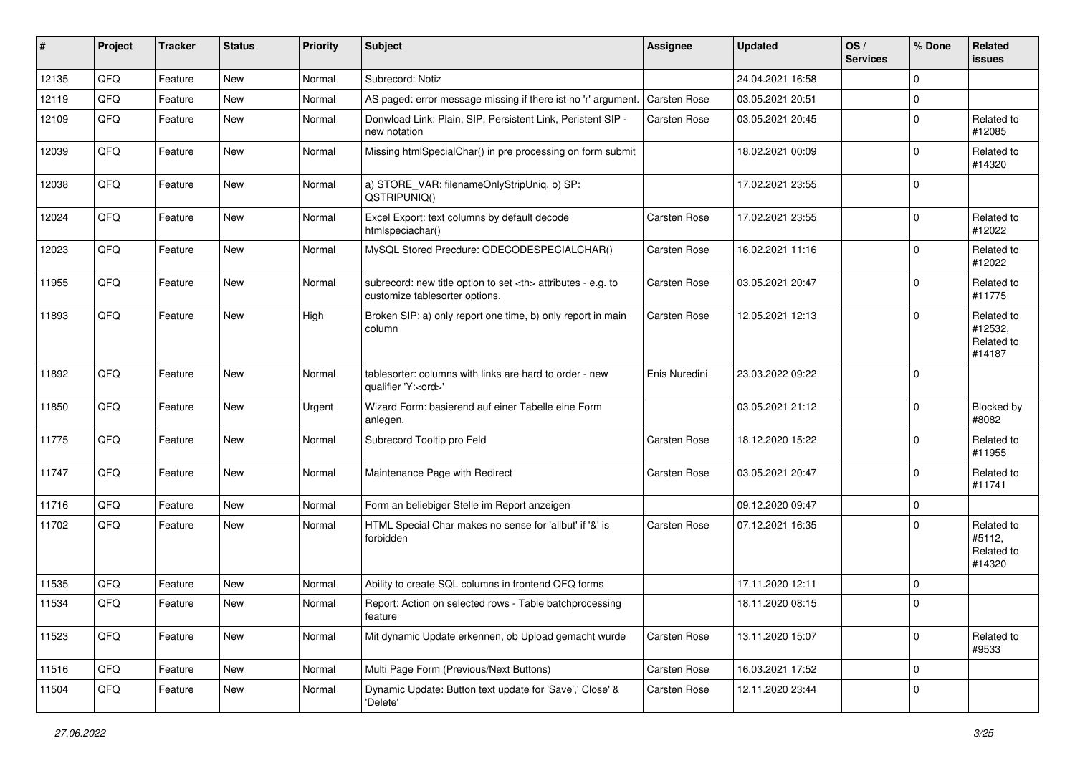| #     | Project | <b>Tracker</b> | <b>Status</b> | <b>Priority</b> | <b>Subject</b>                                                                                       | <b>Assignee</b>                                        | <b>Updated</b>   | OS/<br><b>Services</b> | % Done      | Related<br><b>issues</b>                      |                      |
|-------|---------|----------------|---------------|-----------------|------------------------------------------------------------------------------------------------------|--------------------------------------------------------|------------------|------------------------|-------------|-----------------------------------------------|----------------------|
| 12135 | QFQ     | Feature        | New           | Normal          | Subrecord: Notiz                                                                                     |                                                        | 24.04.2021 16:58 |                        | $\mathbf 0$ |                                               |                      |
| 12119 | QFQ     | Feature        | <b>New</b>    | Normal          | AS paged: error message missing if there ist no 'r' argument.                                        | <b>Carsten Rose</b>                                    | 03.05.2021 20:51 |                        | 0           |                                               |                      |
| 12109 | QFQ     | Feature        | New           | Normal          | Donwload Link: Plain, SIP, Persistent Link, Peristent SIP -<br>new notation                          | Carsten Rose                                           | 03.05.2021 20:45 |                        | $\mathbf 0$ | Related to<br>#12085                          |                      |
| 12039 | QFQ     | Feature        | New           | Normal          | Missing htmlSpecialChar() in pre processing on form submit                                           |                                                        | 18.02.2021 00:09 |                        | 0           | Related to<br>#14320                          |                      |
| 12038 | QFQ     | Feature        | New           | Normal          | a) STORE_VAR: filenameOnlyStripUniq, b) SP:<br>QSTRIPUNIQ()                                          |                                                        | 17.02.2021 23:55 |                        | $\mathbf 0$ |                                               |                      |
| 12024 | QFQ     | Feature        | <b>New</b>    | Normal          | Excel Export: text columns by default decode<br>htmlspeciachar()                                     | Carsten Rose                                           | 17.02.2021 23:55 |                        | $\mathbf 0$ | Related to<br>#12022                          |                      |
| 12023 | QFQ     | Feature        | <b>New</b>    | Normal          | MySQL Stored Precdure: QDECODESPECIALCHAR()                                                          | Carsten Rose                                           | 16.02.2021 11:16 |                        | $\mathbf 0$ | Related to<br>#12022                          |                      |
| 11955 | QFQ     | Feature        | New           | Normal          | subrecord: new title option to set <th> attributes - e.g. to<br/>customize tablesorter options.</th> | attributes - e.g. to<br>customize tablesorter options. | Carsten Rose     | 03.05.2021 20:47       |             | $\mathbf 0$                                   | Related to<br>#11775 |
| 11893 | QFQ     | Feature        | New           | High            | Broken SIP: a) only report one time, b) only report in main<br>column                                | Carsten Rose                                           | 12.05.2021 12:13 |                        | $\Omega$    | Related to<br>#12532,<br>Related to<br>#14187 |                      |
| 11892 | QFQ     | Feature        | <b>New</b>    | Normal          | tablesorter: columns with links are hard to order - new<br>qualifier 'Y: <ord>'</ord>                | Enis Nuredini                                          | 23.03.2022 09:22 |                        | 0           |                                               |                      |
| 11850 | QFQ     | Feature        | New           | Urgent          | Wizard Form: basierend auf einer Tabelle eine Form<br>anlegen.                                       |                                                        | 03.05.2021 21:12 |                        | $\mathbf 0$ | Blocked by<br>#8082                           |                      |
| 11775 | QFQ     | Feature        | <b>New</b>    | Normal          | Subrecord Tooltip pro Feld                                                                           | Carsten Rose                                           | 18.12.2020 15:22 |                        | $\mathbf 0$ | Related to<br>#11955                          |                      |
| 11747 | QFQ     | Feature        | <b>New</b>    | Normal          | Maintenance Page with Redirect                                                                       | Carsten Rose                                           | 03.05.2021 20:47 |                        | 0           | Related to<br>#11741                          |                      |
| 11716 | QFQ     | Feature        | New           | Normal          | Form an beliebiger Stelle im Report anzeigen                                                         |                                                        | 09.12.2020 09:47 |                        | 0           |                                               |                      |
| 11702 | QFQ     | Feature        | New           | Normal          | HTML Special Char makes no sense for 'allbut' if '&' is<br>forbidden                                 | Carsten Rose                                           | 07.12.2021 16:35 |                        | 0           | Related to<br>#5112,<br>Related to<br>#14320  |                      |
| 11535 | QFQ     | Feature        | <b>New</b>    | Normal          | Ability to create SQL columns in frontend QFQ forms                                                  |                                                        | 17.11.2020 12:11 |                        | 0           |                                               |                      |
| 11534 | QFQ     | Feature        | New           | Normal          | Report: Action on selected rows - Table batchprocessing<br>feature                                   |                                                        | 18.11.2020 08:15 |                        | $\mathbf 0$ |                                               |                      |
| 11523 | QFQ     | Feature        | New           | Normal          | Mit dynamic Update erkennen, ob Upload gemacht wurde                                                 | Carsten Rose                                           | 13.11.2020 15:07 |                        | $\mathbf 0$ | Related to<br>#9533                           |                      |
| 11516 | QFQ     | Feature        | New           | Normal          | Multi Page Form (Previous/Next Buttons)                                                              | Carsten Rose                                           | 16.03.2021 17:52 |                        | $\mathbf 0$ |                                               |                      |
| 11504 | QFQ     | Feature        | New           | Normal          | Dynamic Update: Button text update for 'Save',' Close' &<br>'Delete'                                 | Carsten Rose                                           | 12.11.2020 23:44 |                        | 0           |                                               |                      |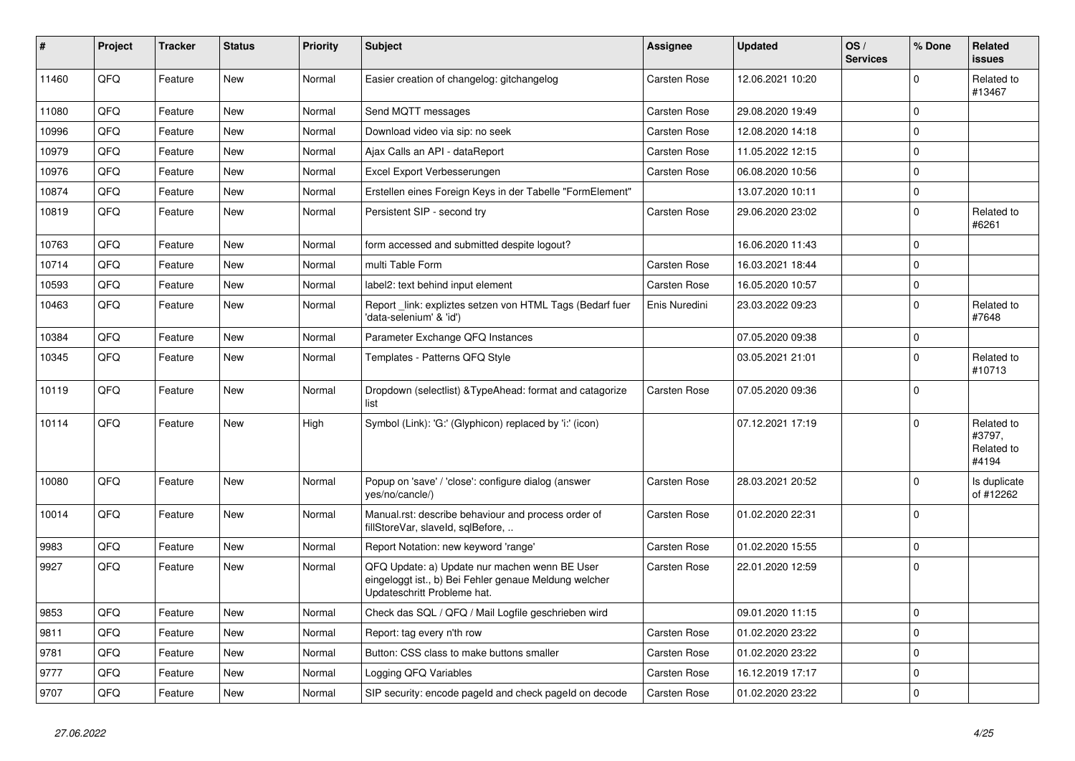| ∦     | Project | <b>Tracker</b> | <b>Status</b> | <b>Priority</b> | <b>Subject</b>                                                                                                                        | Assignee      | <b>Updated</b>   | OS/<br><b>Services</b> | % Done       | <b>Related</b><br>issues                    |
|-------|---------|----------------|---------------|-----------------|---------------------------------------------------------------------------------------------------------------------------------------|---------------|------------------|------------------------|--------------|---------------------------------------------|
| 11460 | QFQ     | Feature        | <b>New</b>    | Normal          | Easier creation of changelog: gitchangelog                                                                                            | Carsten Rose  | 12.06.2021 10:20 |                        | $\Omega$     | Related to<br>#13467                        |
| 11080 | QFQ     | Feature        | <b>New</b>    | Normal          | Send MQTT messages                                                                                                                    | Carsten Rose  | 29.08.2020 19:49 |                        | $\mathbf{0}$ |                                             |
| 10996 | QFQ     | Feature        | New           | Normal          | Download video via sip: no seek                                                                                                       | Carsten Rose  | 12.08.2020 14:18 |                        | $\mathbf 0$  |                                             |
| 10979 | QFQ     | Feature        | New           | Normal          | Ajax Calls an API - dataReport                                                                                                        | Carsten Rose  | 11.05.2022 12:15 |                        | $\mathbf{0}$ |                                             |
| 10976 | QFQ     | Feature        | <b>New</b>    | Normal          | Excel Export Verbesserungen                                                                                                           | Carsten Rose  | 06.08.2020 10:56 |                        | $\mathbf 0$  |                                             |
| 10874 | QFQ     | Feature        | <b>New</b>    | Normal          | Erstellen eines Foreign Keys in der Tabelle "FormElement"                                                                             |               | 13.07.2020 10:11 |                        | $\mathbf 0$  |                                             |
| 10819 | QFQ     | Feature        | New           | Normal          | Persistent SIP - second try                                                                                                           | Carsten Rose  | 29.06.2020 23:02 |                        | $\mathbf{0}$ | Related to<br>#6261                         |
| 10763 | QFQ     | Feature        | <b>New</b>    | Normal          | form accessed and submitted despite logout?                                                                                           |               | 16.06.2020 11:43 |                        | $\mathbf 0$  |                                             |
| 10714 | QFQ     | Feature        | <b>New</b>    | Normal          | multi Table Form                                                                                                                      | Carsten Rose  | 16.03.2021 18:44 |                        | $\mathbf 0$  |                                             |
| 10593 | QFQ     | Feature        | New           | Normal          | label2: text behind input element                                                                                                     | Carsten Rose  | 16.05.2020 10:57 |                        | $\pmb{0}$    |                                             |
| 10463 | QFQ     | Feature        | New           | Normal          | Report link: expliztes setzen von HTML Tags (Bedarf fuer<br>'data-selenium' & 'id')                                                   | Enis Nuredini | 23.03.2022 09:23 |                        | $\mathbf 0$  | Related to<br>#7648                         |
| 10384 | QFQ     | Feature        | New           | Normal          | Parameter Exchange QFQ Instances                                                                                                      |               | 07.05.2020 09:38 |                        | $\mathbf 0$  |                                             |
| 10345 | QFQ     | Feature        | New           | Normal          | Templates - Patterns QFQ Style                                                                                                        |               | 03.05.2021 21:01 |                        | $\mathbf 0$  | Related to<br>#10713                        |
| 10119 | QFQ     | Feature        | New           | Normal          | Dropdown (selectlist) & Type Ahead: format and catagorize<br>list                                                                     | Carsten Rose  | 07.05.2020 09:36 |                        | $\mathbf 0$  |                                             |
| 10114 | QFQ     | Feature        | New           | High            | Symbol (Link): 'G:' (Glyphicon) replaced by 'i:' (icon)                                                                               |               | 07.12.2021 17:19 |                        | $\mathbf 0$  | Related to<br>#3797,<br>Related to<br>#4194 |
| 10080 | QFQ     | Feature        | New           | Normal          | Popup on 'save' / 'close': configure dialog (answer<br>yes/no/cancle/)                                                                | Carsten Rose  | 28.03.2021 20:52 |                        | $\mathbf 0$  | Is duplicate<br>of #12262                   |
| 10014 | QFQ     | Feature        | <b>New</b>    | Normal          | Manual.rst: describe behaviour and process order of<br>fillStoreVar, slaveId, sqlBefore,                                              | Carsten Rose  | 01.02.2020 22:31 |                        | $\mathbf 0$  |                                             |
| 9983  | QFQ     | Feature        | New           | Normal          | Report Notation: new keyword 'range'                                                                                                  | Carsten Rose  | 01.02.2020 15:55 |                        | $\mathbf 0$  |                                             |
| 9927  | QFQ     | Feature        | New           | Normal          | QFQ Update: a) Update nur machen wenn BE User<br>eingeloggt ist., b) Bei Fehler genaue Meldung welcher<br>Updateschritt Probleme hat. | Carsten Rose  | 22.01.2020 12:59 |                        | $\mathbf 0$  |                                             |
| 9853  | QFQ     | Feature        | <b>New</b>    | Normal          | Check das SQL / QFQ / Mail Logfile geschrieben wird                                                                                   |               | 09.01.2020 11:15 |                        | $\mathbf 0$  |                                             |
| 9811  | QFQ     | Feature        | New           | Normal          | Report: tag every n'th row                                                                                                            | Carsten Rose  | 01.02.2020 23:22 |                        | $\mathbf 0$  |                                             |
| 9781  | QFQ     | Feature        | <b>New</b>    | Normal          | Button: CSS class to make buttons smaller                                                                                             | Carsten Rose  | 01.02.2020 23:22 |                        | $\Omega$     |                                             |
| 9777  | QFQ     | Feature        | <b>New</b>    | Normal          | Logging QFQ Variables                                                                                                                 | Carsten Rose  | 16.12.2019 17:17 |                        | $\mathbf 0$  |                                             |
| 9707  | QFQ     | Feature        | New           | Normal          | SIP security: encode pageld and check pageld on decode                                                                                | Carsten Rose  | 01.02.2020 23:22 |                        | $\mathbf 0$  |                                             |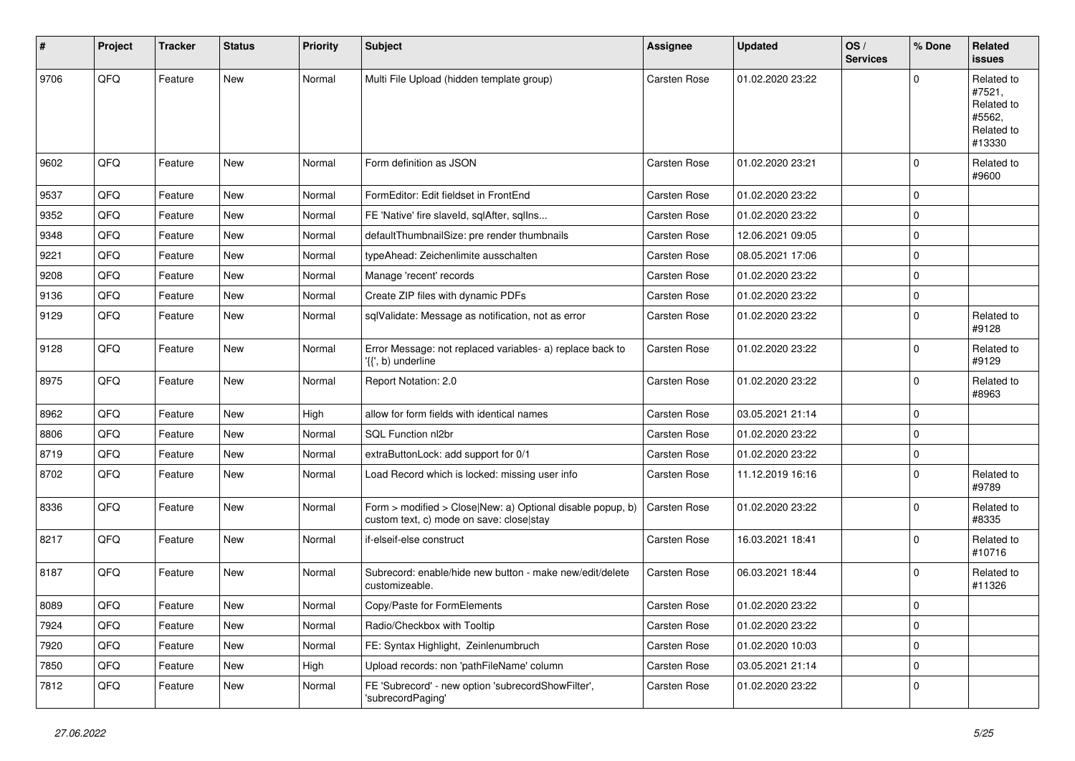| #    | Project | <b>Tracker</b> | <b>Status</b> | <b>Priority</b> | <b>Subject</b>                                                                                         | Assignee     | <b>Updated</b>   | OS/<br><b>Services</b> | % Done      | Related<br>issues                                                    |
|------|---------|----------------|---------------|-----------------|--------------------------------------------------------------------------------------------------------|--------------|------------------|------------------------|-------------|----------------------------------------------------------------------|
| 9706 | QFQ     | Feature        | New           | Normal          | Multi File Upload (hidden template group)                                                              | Carsten Rose | 01.02.2020 23:22 |                        | $\mathbf 0$ | Related to<br>#7521,<br>Related to<br>#5562,<br>Related to<br>#13330 |
| 9602 | QFQ     | Feature        | <b>New</b>    | Normal          | Form definition as JSON                                                                                | Carsten Rose | 01.02.2020 23:21 |                        | 0           | Related to<br>#9600                                                  |
| 9537 | QFQ     | Feature        | <b>New</b>    | Normal          | FormEditor: Edit fieldset in FrontEnd                                                                  | Carsten Rose | 01.02.2020 23:22 |                        | $\mathbf 0$ |                                                                      |
| 9352 | QFQ     | Feature        | New           | Normal          | FE 'Native' fire slaveld, sqlAfter, sqlIns                                                             | Carsten Rose | 01.02.2020 23:22 |                        | 0           |                                                                      |
| 9348 | QFQ     | Feature        | <b>New</b>    | Normal          | defaultThumbnailSize: pre render thumbnails                                                            | Carsten Rose | 12.06.2021 09:05 |                        | $\mathbf 0$ |                                                                      |
| 9221 | QFQ     | Feature        | <b>New</b>    | Normal          | typeAhead: Zeichenlimite ausschalten                                                                   | Carsten Rose | 08.05.2021 17:06 |                        | $\mathbf 0$ |                                                                      |
| 9208 | QFQ     | Feature        | New           | Normal          | Manage 'recent' records                                                                                | Carsten Rose | 01.02.2020 23:22 |                        | $\mathbf 0$ |                                                                      |
| 9136 | QFQ     | Feature        | New           | Normal          | Create ZIP files with dynamic PDFs                                                                     | Carsten Rose | 01.02.2020 23:22 |                        | $\mathbf 0$ |                                                                      |
| 9129 | QFQ     | Feature        | New           | Normal          | sqlValidate: Message as notification, not as error                                                     | Carsten Rose | 01.02.2020 23:22 |                        | $\mathbf 0$ | Related to<br>#9128                                                  |
| 9128 | QFQ     | Feature        | New           | Normal          | Error Message: not replaced variables- a) replace back to<br>'{{', b) underline                        | Carsten Rose | 01.02.2020 23:22 |                        | $\mathbf 0$ | Related to<br>#9129                                                  |
| 8975 | QFQ     | Feature        | New           | Normal          | Report Notation: 2.0                                                                                   | Carsten Rose | 01.02.2020 23:22 |                        | $\mathbf 0$ | Related to<br>#8963                                                  |
| 8962 | QFQ     | Feature        | <b>New</b>    | High            | allow for form fields with identical names                                                             | Carsten Rose | 03.05.2021 21:14 |                        | $\mathbf 0$ |                                                                      |
| 8806 | QFQ     | Feature        | <b>New</b>    | Normal          | SQL Function nl2br                                                                                     | Carsten Rose | 01.02.2020 23:22 |                        | $\mathbf 0$ |                                                                      |
| 8719 | QFQ     | Feature        | New           | Normal          | extraButtonLock: add support for 0/1                                                                   | Carsten Rose | 01.02.2020 23:22 |                        | $\mathbf 0$ |                                                                      |
| 8702 | QFQ     | Feature        | <b>New</b>    | Normal          | Load Record which is locked: missing user info                                                         | Carsten Rose | 11.12.2019 16:16 |                        | $\mathbf 0$ | Related to<br>#9789                                                  |
| 8336 | QFQ     | Feature        | New           | Normal          | Form > modified > Close New: a) Optional disable popup, b)<br>custom text, c) mode on save: close stay | Carsten Rose | 01.02.2020 23:22 |                        | 0           | Related to<br>#8335                                                  |
| 8217 | QFQ     | Feature        | New           | Normal          | if-elseif-else construct                                                                               | Carsten Rose | 16.03.2021 18:41 |                        | $\mathbf 0$ | Related to<br>#10716                                                 |
| 8187 | QFQ     | Feature        | New           | Normal          | Subrecord: enable/hide new button - make new/edit/delete<br>customizeable.                             | Carsten Rose | 06.03.2021 18:44 |                        | $\mathbf 0$ | Related to<br>#11326                                                 |
| 8089 | QFQ     | Feature        | New           | Normal          | Copy/Paste for FormElements                                                                            | Carsten Rose | 01.02.2020 23:22 |                        | $\mathbf 0$ |                                                                      |
| 7924 | QFQ     | Feature        | New           | Normal          | Radio/Checkbox with Tooltip                                                                            | Carsten Rose | 01.02.2020 23:22 |                        | $\mathbf 0$ |                                                                      |
| 7920 | QFQ     | Feature        | New           | Normal          | FE: Syntax Highlight, Zeinlenumbruch                                                                   | Carsten Rose | 01.02.2020 10:03 |                        | $\mathbf 0$ |                                                                      |
| 7850 | QFQ     | Feature        | New           | High            | Upload records: non 'pathFileName' column                                                              | Carsten Rose | 03.05.2021 21:14 |                        | $\pmb{0}$   |                                                                      |
| 7812 | QFQ     | Feature        | New           | Normal          | FE 'Subrecord' - new option 'subrecordShowFilter',<br>'subrecordPaging'                                | Carsten Rose | 01.02.2020 23:22 |                        | 0           |                                                                      |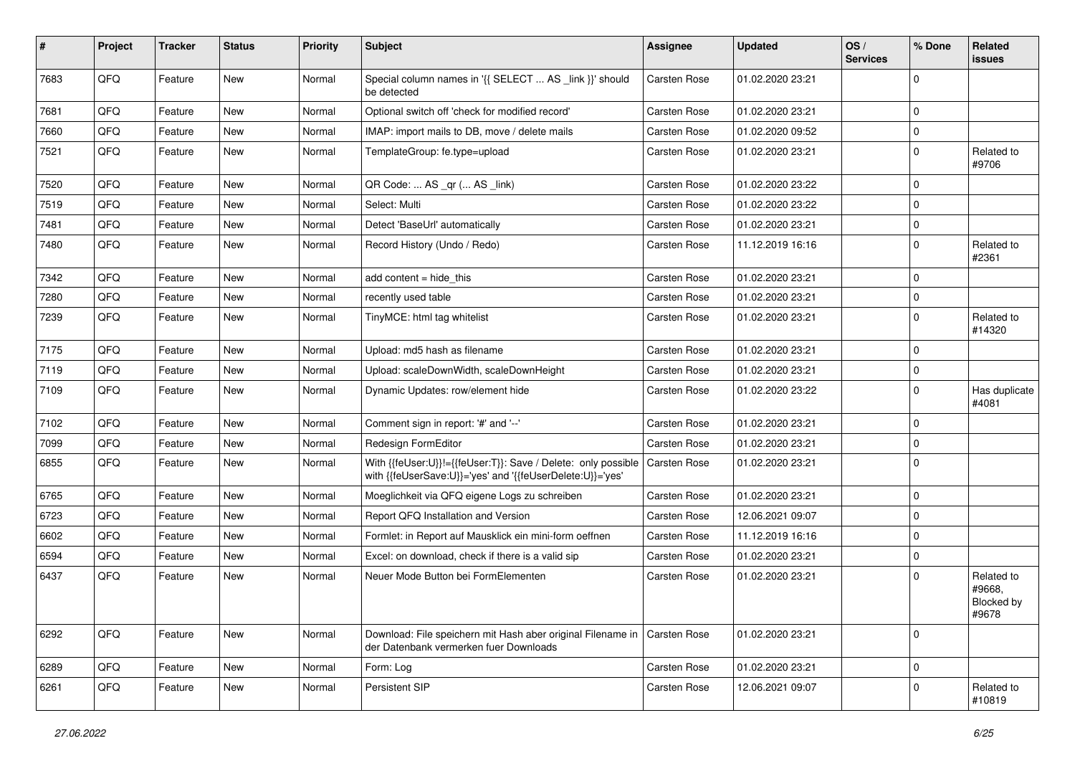| ∦    | Project | <b>Tracker</b> | <b>Status</b> | <b>Priority</b> | Subject                                                                                                                    | <b>Assignee</b> | <b>Updated</b>   | OS/<br><b>Services</b> | % Done      | Related<br>issues                           |
|------|---------|----------------|---------------|-----------------|----------------------------------------------------------------------------------------------------------------------------|-----------------|------------------|------------------------|-------------|---------------------------------------------|
| 7683 | QFQ     | Feature        | New           | Normal          | Special column names in '{{ SELECT  AS _link }}' should<br>be detected                                                     | Carsten Rose    | 01.02.2020 23:21 |                        | $\mathbf 0$ |                                             |
| 7681 | QFQ     | Feature        | New           | Normal          | Optional switch off 'check for modified record'                                                                            | Carsten Rose    | 01.02.2020 23:21 |                        | $\mathbf 0$ |                                             |
| 7660 | QFQ     | Feature        | New           | Normal          | IMAP: import mails to DB, move / delete mails                                                                              | Carsten Rose    | 01.02.2020 09:52 |                        | $\mathbf 0$ |                                             |
| 7521 | QFQ     | Feature        | New           | Normal          | TemplateGroup: fe.type=upload                                                                                              | Carsten Rose    | 01.02.2020 23:21 |                        | 0           | Related to<br>#9706                         |
| 7520 | QFQ     | Feature        | New           | Normal          | QR Code:  AS _qr ( AS _link)                                                                                               | Carsten Rose    | 01.02.2020 23:22 |                        | 0           |                                             |
| 7519 | QFQ     | Feature        | New           | Normal          | Select: Multi                                                                                                              | Carsten Rose    | 01.02.2020 23:22 |                        | $\mathbf 0$ |                                             |
| 7481 | QFQ     | Feature        | New           | Normal          | Detect 'BaseUrl' automatically                                                                                             | Carsten Rose    | 01.02.2020 23:21 |                        | $\mathbf 0$ |                                             |
| 7480 | QFQ     | Feature        | New           | Normal          | Record History (Undo / Redo)                                                                                               | Carsten Rose    | 11.12.2019 16:16 |                        | $\mathbf 0$ | Related to<br>#2361                         |
| 7342 | QFQ     | Feature        | <b>New</b>    | Normal          | add content = hide_this                                                                                                    | Carsten Rose    | 01.02.2020 23:21 |                        | $\mathbf 0$ |                                             |
| 7280 | QFQ     | Feature        | New           | Normal          | recently used table                                                                                                        | Carsten Rose    | 01.02.2020 23:21 |                        | 0           |                                             |
| 7239 | QFQ     | Feature        | New           | Normal          | TinyMCE: html tag whitelist                                                                                                | Carsten Rose    | 01.02.2020 23:21 |                        | $\mathbf 0$ | Related to<br>#14320                        |
| 7175 | QFQ     | Feature        | New           | Normal          | Upload: md5 hash as filename                                                                                               | Carsten Rose    | 01.02.2020 23:21 |                        | $\mathbf 0$ |                                             |
| 7119 | QFQ     | Feature        | New           | Normal          | Upload: scaleDownWidth, scaleDownHeight                                                                                    | Carsten Rose    | 01.02.2020 23:21 |                        | 0           |                                             |
| 7109 | QFQ     | Feature        | New           | Normal          | Dynamic Updates: row/element hide                                                                                          | Carsten Rose    | 01.02.2020 23:22 |                        | $\mathbf 0$ | Has duplicate<br>#4081                      |
| 7102 | QFQ     | Feature        | <b>New</b>    | Normal          | Comment sign in report: '#' and '--'                                                                                       | Carsten Rose    | 01.02.2020 23:21 |                        | $\mathbf 0$ |                                             |
| 7099 | QFQ     | Feature        | New           | Normal          | Redesign FormEditor                                                                                                        | Carsten Rose    | 01.02.2020 23:21 |                        | $\mathbf 0$ |                                             |
| 6855 | QFQ     | Feature        | New           | Normal          | With {{feUser:U}}!={{feUser:T}}: Save / Delete: only possible<br>with {{feUserSave:U}}='yes' and '{{feUserDelete:U}}='yes' | Carsten Rose    | 01.02.2020 23:21 |                        | $\mathbf 0$ |                                             |
| 6765 | QFQ     | Feature        | New           | Normal          | Moeglichkeit via QFQ eigene Logs zu schreiben                                                                              | Carsten Rose    | 01.02.2020 23:21 |                        | $\mathbf 0$ |                                             |
| 6723 | QFQ     | Feature        | New           | Normal          | Report QFQ Installation and Version                                                                                        | Carsten Rose    | 12.06.2021 09:07 |                        | $\mathbf 0$ |                                             |
| 6602 | QFQ     | Feature        | New           | Normal          | Formlet: in Report auf Mausklick ein mini-form oeffnen                                                                     | Carsten Rose    | 11.12.2019 16:16 |                        | $\mathbf 0$ |                                             |
| 6594 | QFQ     | Feature        | New           | Normal          | Excel: on download, check if there is a valid sip                                                                          | Carsten Rose    | 01.02.2020 23:21 |                        | $\mathbf 0$ |                                             |
| 6437 | QFQ     | Feature        | New           | Normal          | Neuer Mode Button bei FormElementen                                                                                        | Carsten Rose    | 01.02.2020 23:21 |                        | $\mathbf 0$ | Related to<br>#9668,<br>Blocked by<br>#9678 |
| 6292 | QFQ     | Feature        | New           | Normal          | Download: File speichern mit Hash aber original Filename in<br>der Datenbank vermerken fuer Downloads                      | Carsten Rose    | 01.02.2020 23:21 |                        | 0           |                                             |
| 6289 | QFQ     | Feature        | New           | Normal          | Form: Log                                                                                                                  | Carsten Rose    | 01.02.2020 23:21 |                        | $\pmb{0}$   |                                             |
| 6261 | QFQ     | Feature        | New           | Normal          | Persistent SIP                                                                                                             | Carsten Rose    | 12.06.2021 09:07 |                        | 0           | Related to<br>#10819                        |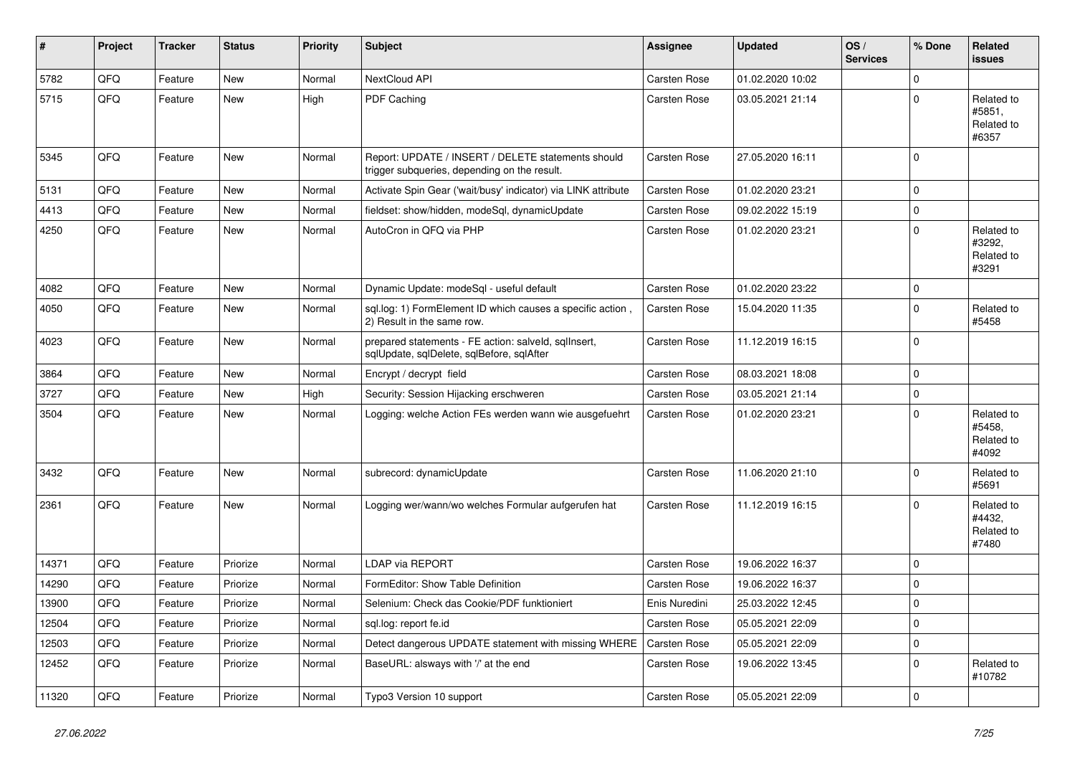| #     | Project | <b>Tracker</b> | <b>Status</b> | <b>Priority</b> | <b>Subject</b>                                                                                     | <b>Assignee</b>     | <b>Updated</b>   | OS/<br><b>Services</b> | % Done      | <b>Related</b><br>issues                    |
|-------|---------|----------------|---------------|-----------------|----------------------------------------------------------------------------------------------------|---------------------|------------------|------------------------|-------------|---------------------------------------------|
| 5782  | QFQ     | Feature        | New           | Normal          | NextCloud API                                                                                      | Carsten Rose        | 01.02.2020 10:02 |                        | $\mathbf 0$ |                                             |
| 5715  | QFQ     | Feature        | New           | High            | PDF Caching                                                                                        | Carsten Rose        | 03.05.2021 21:14 |                        | $\mathbf 0$ | Related to<br>#5851,<br>Related to<br>#6357 |
| 5345  | QFQ     | Feature        | <b>New</b>    | Normal          | Report: UPDATE / INSERT / DELETE statements should<br>trigger subqueries, depending on the result. | <b>Carsten Rose</b> | 27.05.2020 16:11 |                        | $\Omega$    |                                             |
| 5131  | QFQ     | Feature        | <b>New</b>    | Normal          | Activate Spin Gear ('wait/busy' indicator) via LINK attribute                                      | Carsten Rose        | 01.02.2020 23:21 |                        | 0           |                                             |
| 4413  | QFQ     | Feature        | <b>New</b>    | Normal          | fieldset: show/hidden, modeSql, dynamicUpdate                                                      | Carsten Rose        | 09.02.2022 15:19 |                        | $\mathbf 0$ |                                             |
| 4250  | QFQ     | Feature        | New           | Normal          | AutoCron in QFQ via PHP                                                                            | Carsten Rose        | 01.02.2020 23:21 |                        | $\mathbf 0$ | Related to<br>#3292,<br>Related to<br>#3291 |
| 4082  | QFQ     | Feature        | <b>New</b>    | Normal          | Dynamic Update: modeSql - useful default                                                           | Carsten Rose        | 01.02.2020 23:22 |                        | 0           |                                             |
| 4050  | QFQ     | Feature        | New           | Normal          | sql.log: 1) FormElement ID which causes a specific action,<br>2) Result in the same row.           | Carsten Rose        | 15.04.2020 11:35 |                        | $\Omega$    | Related to<br>#5458                         |
| 4023  | QFQ     | Feature        | <b>New</b>    | Normal          | prepared statements - FE action: salveld, sqlInsert,<br>sqlUpdate, sqlDelete, sqlBefore, sqlAfter  | Carsten Rose        | 11.12.2019 16:15 |                        | $\Omega$    |                                             |
| 3864  | QFQ     | Feature        | <b>New</b>    | Normal          | Encrypt / decrypt field                                                                            | Carsten Rose        | 08.03.2021 18:08 |                        | 0           |                                             |
| 3727  | QFQ     | Feature        | <b>New</b>    | High            | Security: Session Hijacking erschweren                                                             | Carsten Rose        | 03.05.2021 21:14 |                        | 0           |                                             |
| 3504  | QFQ     | Feature        | New           | Normal          | Logging: welche Action FEs werden wann wie ausgefuehrt                                             | Carsten Rose        | 01.02.2020 23:21 |                        | $\mathbf 0$ | Related to<br>#5458,<br>Related to<br>#4092 |
| 3432  | QFQ     | Feature        | <b>New</b>    | Normal          | subrecord: dynamicUpdate                                                                           | Carsten Rose        | 11.06.2020 21:10 |                        | 0           | Related to<br>#5691                         |
| 2361  | QFQ     | Feature        | New           | Normal          | Logging wer/wann/wo welches Formular aufgerufen hat                                                | <b>Carsten Rose</b> | 11.12.2019 16:15 |                        | $\Omega$    | Related to<br>#4432,<br>Related to<br>#7480 |
| 14371 | QFQ     | Feature        | Priorize      | Normal          | <b>LDAP via REPORT</b>                                                                             | Carsten Rose        | 19.06.2022 16:37 |                        | 0           |                                             |
| 14290 | QFQ     | Feature        | Priorize      | Normal          | FormEditor: Show Table Definition                                                                  | Carsten Rose        | 19.06.2022 16:37 |                        | 0           |                                             |
| 13900 | QFQ     | Feature        | Priorize      | Normal          | Selenium: Check das Cookie/PDF funktioniert                                                        | Enis Nuredini       | 25.03.2022 12:45 |                        | $\mathbf 0$ |                                             |
| 12504 | QFQ     | Feature        | Priorize      | Normal          | sql.log: report fe.id                                                                              | Carsten Rose        | 05.05.2021 22:09 |                        | 0           |                                             |
| 12503 | QFQ     | Feature        | Priorize      | Normal          | Detect dangerous UPDATE statement with missing WHERE                                               | Carsten Rose        | 05.05.2021 22:09 |                        | 0           |                                             |
| 12452 | QFQ     | Feature        | Priorize      | Normal          | BaseURL: alsways with '/' at the end                                                               | Carsten Rose        | 19.06.2022 13:45 |                        | $\mathbf 0$ | Related to<br>#10782                        |
| 11320 | QFQ     | Feature        | Priorize      | Normal          | Typo3 Version 10 support                                                                           | Carsten Rose        | 05.05.2021 22:09 |                        | 0           |                                             |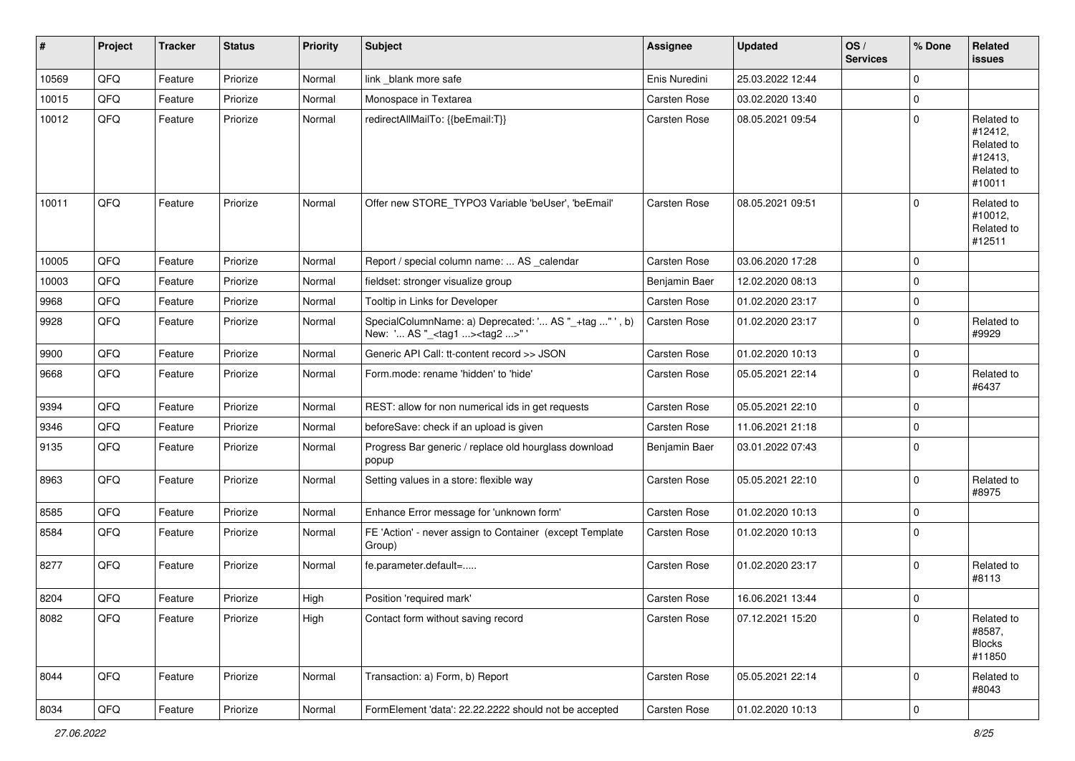| #     | Project | <b>Tracker</b> | <b>Status</b> | <b>Priority</b> | <b>Subject</b>                                                                                    | <b>Assignee</b>     | <b>Updated</b>   | OS/<br><b>Services</b> | % Done       | Related<br><b>issues</b>                                               |
|-------|---------|----------------|---------------|-----------------|---------------------------------------------------------------------------------------------------|---------------------|------------------|------------------------|--------------|------------------------------------------------------------------------|
| 10569 | QFQ     | Feature        | Priorize      | Normal          | link blank more safe                                                                              | Enis Nuredini       | 25.03.2022 12:44 |                        | 0            |                                                                        |
| 10015 | QFQ     | Feature        | Priorize      | Normal          | Monospace in Textarea                                                                             | <b>Carsten Rose</b> | 03.02.2020 13:40 |                        | 0            |                                                                        |
| 10012 | QFQ     | Feature        | Priorize      | Normal          | redirectAllMailTo: {{beEmail:T}}                                                                  | <b>Carsten Rose</b> | 08.05.2021 09:54 |                        | $\mathbf 0$  | Related to<br>#12412,<br>Related to<br>#12413,<br>Related to<br>#10011 |
| 10011 | QFQ     | Feature        | Priorize      | Normal          | Offer new STORE_TYPO3 Variable 'beUser', 'beEmail'                                                | <b>Carsten Rose</b> | 08.05.2021 09:51 |                        | $\mathbf 0$  | Related to<br>#10012,<br>Related to<br>#12511                          |
| 10005 | QFQ     | Feature        | Priorize      | Normal          | Report / special column name:  AS _calendar                                                       | <b>Carsten Rose</b> | 03.06.2020 17:28 |                        | $\mathbf 0$  |                                                                        |
| 10003 | QFQ     | Feature        | Priorize      | Normal          | fieldset: stronger visualize group                                                                | Benjamin Baer       | 12.02.2020 08:13 |                        | 0            |                                                                        |
| 9968  | QFQ     | Feature        | Priorize      | Normal          | Tooltip in Links for Developer                                                                    | Carsten Rose        | 01.02.2020 23:17 |                        | 0            |                                                                        |
| 9928  | QFQ     | Feature        | Priorize      | Normal          | SpecialColumnName: a) Deprecated: ' AS "_+tag " ', b)<br>New: ' AS "_ <tag1><tag2>"</tag2></tag1> | <b>Carsten Rose</b> | 01.02.2020 23:17 |                        | 0            | Related to<br>#9929                                                    |
| 9900  | QFQ     | Feature        | Priorize      | Normal          | Generic API Call: tt-content record >> JSON                                                       | <b>Carsten Rose</b> | 01.02.2020 10:13 |                        | 0            |                                                                        |
| 9668  | QFQ     | Feature        | Priorize      | Normal          | Form.mode: rename 'hidden' to 'hide'                                                              | <b>Carsten Rose</b> | 05.05.2021 22:14 |                        | $\mathbf 0$  | Related to<br>#6437                                                    |
| 9394  | QFQ     | Feature        | Priorize      | Normal          | REST: allow for non numerical ids in get requests                                                 | <b>Carsten Rose</b> | 05.05.2021 22:10 |                        | 0            |                                                                        |
| 9346  | QFQ     | Feature        | Priorize      | Normal          | beforeSave: check if an upload is given                                                           | Carsten Rose        | 11.06.2021 21:18 |                        | $\mathbf{0}$ |                                                                        |
| 9135  | QFQ     | Feature        | Priorize      | Normal          | Progress Bar generic / replace old hourglass download<br>popup                                    | Benjamin Baer       | 03.01.2022 07:43 |                        | $\mathbf 0$  |                                                                        |
| 8963  | QFQ     | Feature        | Priorize      | Normal          | Setting values in a store: flexible way                                                           | Carsten Rose        | 05.05.2021 22:10 |                        | $\mathbf 0$  | Related to<br>#8975                                                    |
| 8585  | QFQ     | Feature        | Priorize      | Normal          | Enhance Error message for 'unknown form'                                                          | <b>Carsten Rose</b> | 01.02.2020 10:13 |                        | 0            |                                                                        |
| 8584  | QFQ     | Feature        | Priorize      | Normal          | FE 'Action' - never assign to Container (except Template<br>Group)                                | <b>Carsten Rose</b> | 01.02.2020 10:13 |                        | $\mathbf 0$  |                                                                        |
| 8277  | QFQ     | Feature        | Priorize      | Normal          | fe.parameter.default=                                                                             | Carsten Rose        | 01.02.2020 23:17 |                        | $\mathbf 0$  | Related to<br>#8113                                                    |
| 8204  | QFQ     | Feature        | Priorize      | High            | Position 'required mark'                                                                          | <b>Carsten Rose</b> | 16.06.2021 13:44 |                        | 0            |                                                                        |
| 8082  | QFG     | Feature        | Priorize      | High            | Contact form without saving record                                                                | Carsten Rose        | 07.12.2021 15:20 |                        | $\mathbf 0$  | Related to<br>#8587,<br><b>Blocks</b><br>#11850                        |
| 8044  | QFQ     | Feature        | Priorize      | Normal          | Transaction: a) Form, b) Report                                                                   | Carsten Rose        | 05.05.2021 22:14 |                        | $\mathbf 0$  | Related to<br>#8043                                                    |
| 8034  | QFG     | Feature        | Priorize      | Normal          | FormElement 'data': 22.22.2222 should not be accepted                                             | Carsten Rose        | 01.02.2020 10:13 |                        | $\pmb{0}$    |                                                                        |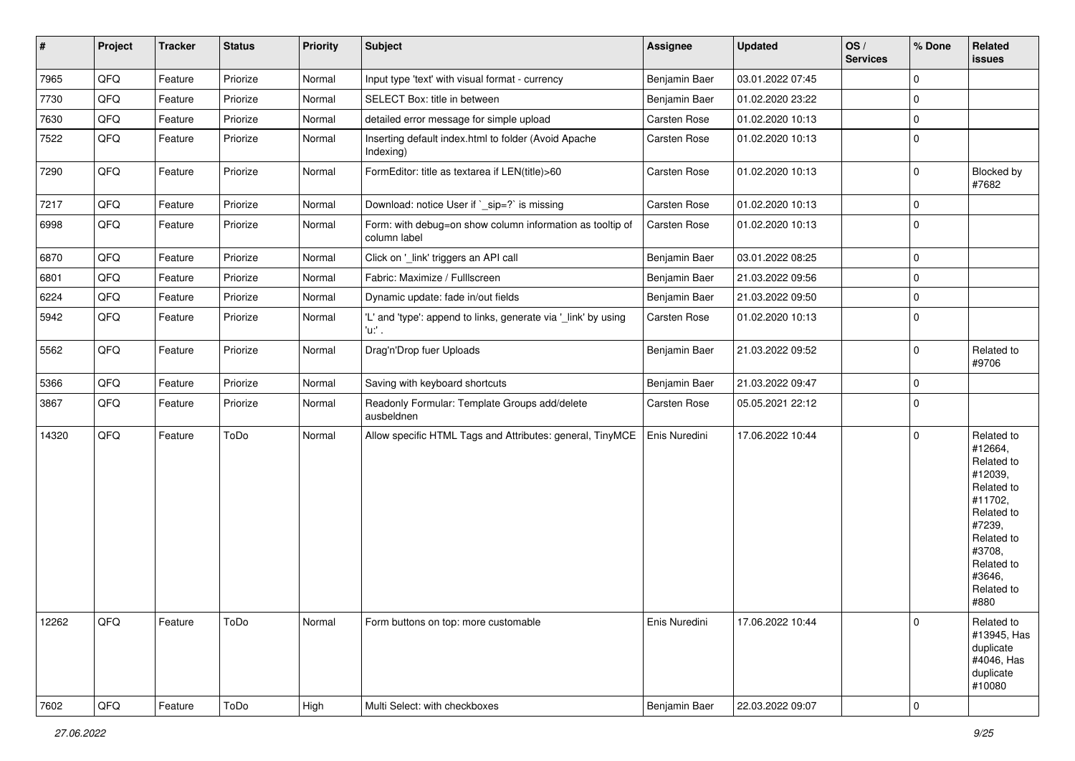| $\vert$ # | Project | <b>Tracker</b> | <b>Status</b> | <b>Priority</b> | <b>Subject</b>                                                            | <b>Assignee</b> | <b>Updated</b>   | OS/<br><b>Services</b> | % Done      | Related<br>issues                                                                                                                                                     |
|-----------|---------|----------------|---------------|-----------------|---------------------------------------------------------------------------|-----------------|------------------|------------------------|-------------|-----------------------------------------------------------------------------------------------------------------------------------------------------------------------|
| 7965      | QFQ     | Feature        | Priorize      | Normal          | Input type 'text' with visual format - currency                           | Benjamin Baer   | 03.01.2022 07:45 |                        | $\mathbf 0$ |                                                                                                                                                                       |
| 7730      | QFQ     | Feature        | Priorize      | Normal          | SELECT Box: title in between                                              | Benjamin Baer   | 01.02.2020 23:22 |                        | 0           |                                                                                                                                                                       |
| 7630      | QFQ     | Feature        | Priorize      | Normal          | detailed error message for simple upload                                  | Carsten Rose    | 01.02.2020 10:13 |                        | $\mathbf 0$ |                                                                                                                                                                       |
| 7522      | QFQ     | Feature        | Priorize      | Normal          | Inserting default index.html to folder (Avoid Apache<br>Indexing)         | Carsten Rose    | 01.02.2020 10:13 |                        | $\mathbf 0$ |                                                                                                                                                                       |
| 7290      | QFQ     | Feature        | Priorize      | Normal          | FormEditor: title as textarea if LEN(title)>60                            | Carsten Rose    | 01.02.2020 10:13 |                        | $\mathbf 0$ | Blocked by<br>#7682                                                                                                                                                   |
| 7217      | QFQ     | Feature        | Priorize      | Normal          | Download: notice User if `_sip=?` is missing                              | Carsten Rose    | 01.02.2020 10:13 |                        | 0           |                                                                                                                                                                       |
| 6998      | QFQ     | Feature        | Priorize      | Normal          | Form: with debug=on show column information as tooltip of<br>column label | Carsten Rose    | 01.02.2020 10:13 |                        | 0           |                                                                                                                                                                       |
| 6870      | QFQ     | Feature        | Priorize      | Normal          | Click on '_link' triggers an API call                                     | Benjamin Baer   | 03.01.2022 08:25 |                        | 0           |                                                                                                                                                                       |
| 6801      | QFQ     | Feature        | Priorize      | Normal          | Fabric: Maximize / FullIscreen                                            | Benjamin Baer   | 21.03.2022 09:56 |                        | 0           |                                                                                                                                                                       |
| 6224      | QFQ     | Feature        | Priorize      | Normal          | Dynamic update: fade in/out fields                                        | Benjamin Baer   | 21.03.2022 09:50 |                        | 0           |                                                                                                                                                                       |
| 5942      | QFQ     | Feature        | Priorize      | Normal          | 'L' and 'type': append to links, generate via '_link' by using<br>'u:' .  | Carsten Rose    | 01.02.2020 10:13 |                        | $\mathbf 0$ |                                                                                                                                                                       |
| 5562      | QFQ     | Feature        | Priorize      | Normal          | Drag'n'Drop fuer Uploads                                                  | Benjamin Baer   | 21.03.2022 09:52 |                        | 0           | Related to<br>#9706                                                                                                                                                   |
| 5366      | QFQ     | Feature        | Priorize      | Normal          | Saving with keyboard shortcuts                                            | Benjamin Baer   | 21.03.2022 09:47 |                        | 0           |                                                                                                                                                                       |
| 3867      | QFQ     | Feature        | Priorize      | Normal          | Readonly Formular: Template Groups add/delete<br>ausbeldnen               | Carsten Rose    | 05.05.2021 22:12 |                        | 0           |                                                                                                                                                                       |
| 14320     | QFQ     | Feature        | ToDo          | Normal          | Allow specific HTML Tags and Attributes: general, TinyMCE                 | Enis Nuredini   | 17.06.2022 10:44 |                        | 0           | Related to<br>#12664,<br>Related to<br>#12039,<br>Related to<br>#11702,<br>Related to<br>#7239,<br>Related to<br>#3708,<br>Related to<br>#3646,<br>Related to<br>#880 |
| 12262     | QFQ     | Feature        | ToDo          | Normal          | Form buttons on top: more customable                                      | Enis Nuredini   | 17.06.2022 10:44 |                        | $\mathbf 0$ | Related to<br>#13945, Has<br>duplicate<br>#4046, Has<br>duplicate<br>#10080                                                                                           |
| 7602      | QFQ     | Feature        | ToDo          | High            | Multi Select: with checkboxes                                             | Benjamin Baer   | 22.03.2022 09:07 |                        | $\pmb{0}$   |                                                                                                                                                                       |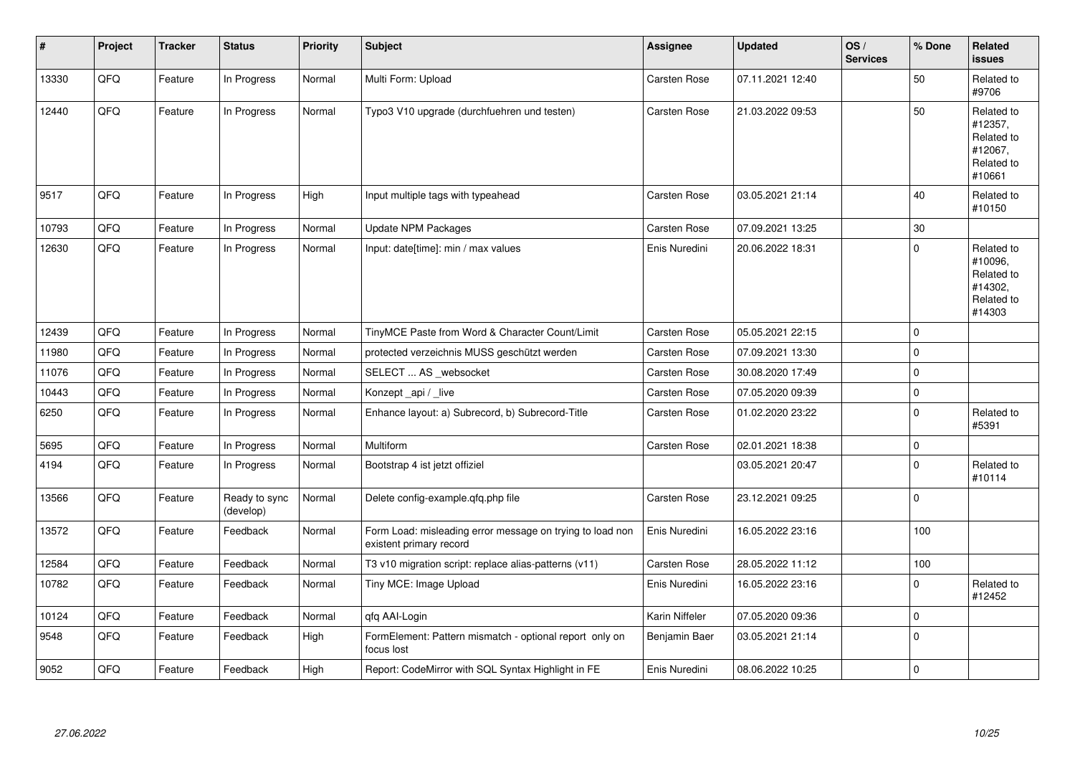| #     | Project | <b>Tracker</b> | <b>Status</b>              | <b>Priority</b> | <b>Subject</b>                                                                       | <b>Assignee</b> | <b>Updated</b>   | OS/<br><b>Services</b> | % Done      | Related<br>issues                                                      |
|-------|---------|----------------|----------------------------|-----------------|--------------------------------------------------------------------------------------|-----------------|------------------|------------------------|-------------|------------------------------------------------------------------------|
| 13330 | QFQ     | Feature        | In Progress                | Normal          | Multi Form: Upload                                                                   | Carsten Rose    | 07.11.2021 12:40 |                        | 50          | Related to<br>#9706                                                    |
| 12440 | QFQ     | Feature        | In Progress                | Normal          | Typo3 V10 upgrade (durchfuehren und testen)                                          | Carsten Rose    | 21.03.2022 09:53 |                        | 50          | Related to<br>#12357,<br>Related to<br>#12067,<br>Related to<br>#10661 |
| 9517  | QFQ     | Feature        | In Progress                | High            | Input multiple tags with typeahead                                                   | Carsten Rose    | 03.05.2021 21:14 |                        | 40          | Related to<br>#10150                                                   |
| 10793 | QFQ     | Feature        | In Progress                | Normal          | Update NPM Packages                                                                  | Carsten Rose    | 07.09.2021 13:25 |                        | 30          |                                                                        |
| 12630 | QFQ     | Feature        | In Progress                | Normal          | Input: date[time]: min / max values                                                  | Enis Nuredini   | 20.06.2022 18:31 |                        | $\Omega$    | Related to<br>#10096,<br>Related to<br>#14302,<br>Related to<br>#14303 |
| 12439 | QFQ     | Feature        | In Progress                | Normal          | TinyMCE Paste from Word & Character Count/Limit                                      | Carsten Rose    | 05.05.2021 22:15 |                        | 0           |                                                                        |
| 11980 | QFQ     | Feature        | In Progress                | Normal          | protected verzeichnis MUSS geschützt werden                                          | Carsten Rose    | 07.09.2021 13:30 |                        | 0           |                                                                        |
| 11076 | QFQ     | Feature        | In Progress                | Normal          | SELECT  AS websocket                                                                 | Carsten Rose    | 30.08.2020 17:49 |                        | 0           |                                                                        |
| 10443 | QFQ     | Feature        | In Progress                | Normal          | Konzept_api / _live                                                                  | Carsten Rose    | 07.05.2020 09:39 |                        | $\Omega$    |                                                                        |
| 6250  | QFQ     | Feature        | In Progress                | Normal          | Enhance layout: a) Subrecord, b) Subrecord-Title                                     | Carsten Rose    | 01.02.2020 23:22 |                        | $\mathbf 0$ | Related to<br>#5391                                                    |
| 5695  | QFQ     | Feature        | In Progress                | Normal          | Multiform                                                                            | Carsten Rose    | 02.01.2021 18:38 |                        | 0           |                                                                        |
| 4194  | QFQ     | Feature        | In Progress                | Normal          | Bootstrap 4 ist jetzt offiziel                                                       |                 | 03.05.2021 20:47 |                        | $\mathbf 0$ | Related to<br>#10114                                                   |
| 13566 | QFQ     | Feature        | Ready to sync<br>(develop) | Normal          | Delete config-example.qfq.php file                                                   | Carsten Rose    | 23.12.2021 09:25 |                        | $\mathbf 0$ |                                                                        |
| 13572 | QFQ     | Feature        | Feedback                   | Normal          | Form Load: misleading error message on trying to load non<br>existent primary record | Enis Nuredini   | 16.05.2022 23:16 |                        | 100         |                                                                        |
| 12584 | QFQ     | Feature        | Feedback                   | Normal          | T3 v10 migration script: replace alias-patterns (v11)                                | Carsten Rose    | 28.05.2022 11:12 |                        | 100         |                                                                        |
| 10782 | QFQ     | Feature        | Feedback                   | Normal          | Tiny MCE: Image Upload                                                               | Enis Nuredini   | 16.05.2022 23:16 |                        | $\mathbf 0$ | Related to<br>#12452                                                   |
| 10124 | QFQ     | Feature        | Feedback                   | Normal          | qfq AAI-Login                                                                        | Karin Niffeler  | 07.05.2020 09:36 |                        | 0           |                                                                        |
| 9548  | QFQ     | Feature        | Feedback                   | High            | FormElement: Pattern mismatch - optional report only on<br>focus lost                | Benjamin Baer   | 03.05.2021 21:14 |                        | $\mathbf 0$ |                                                                        |
| 9052  | QFQ     | Feature        | Feedback                   | High            | Report: CodeMirror with SQL Syntax Highlight in FE                                   | Enis Nuredini   | 08.06.2022 10:25 |                        | 0           |                                                                        |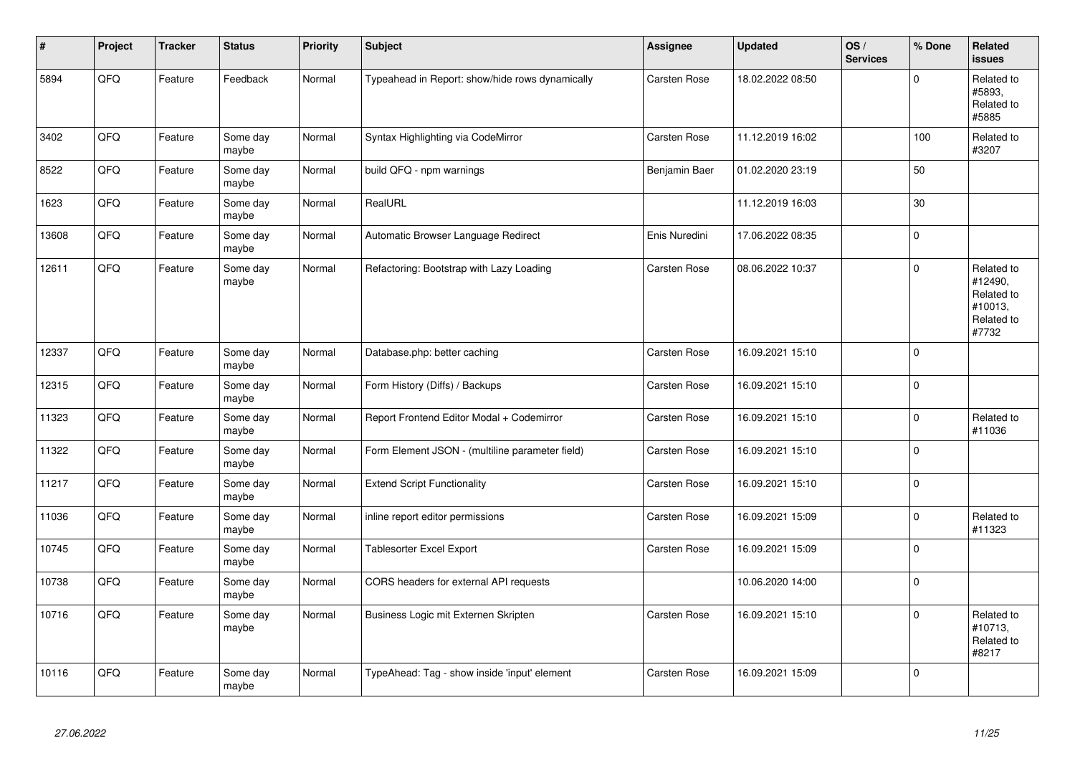| #     | Project | <b>Tracker</b> | <b>Status</b>     | <b>Priority</b> | <b>Subject</b>                                  | Assignee            | <b>Updated</b>   | OS/<br><b>Services</b> | % Done      | <b>Related</b><br><b>issues</b>                                       |
|-------|---------|----------------|-------------------|-----------------|-------------------------------------------------|---------------------|------------------|------------------------|-------------|-----------------------------------------------------------------------|
| 5894  | QFQ     | Feature        | Feedback          | Normal          | Typeahead in Report: show/hide rows dynamically | Carsten Rose        | 18.02.2022 08:50 |                        | $\Omega$    | Related to<br>#5893,<br>Related to<br>#5885                           |
| 3402  | QFQ     | Feature        | Some day<br>maybe | Normal          | Syntax Highlighting via CodeMirror              | Carsten Rose        | 11.12.2019 16:02 |                        | 100         | Related to<br>#3207                                                   |
| 8522  | QFQ     | Feature        | Some day<br>maybe | Normal          | build QFQ - npm warnings                        | Benjamin Baer       | 01.02.2020 23:19 |                        | 50          |                                                                       |
| 1623  | QFQ     | Feature        | Some day<br>maybe | Normal          | RealURL                                         |                     | 11.12.2019 16:03 |                        | 30          |                                                                       |
| 13608 | QFQ     | Feature        | Some day<br>maybe | Normal          | Automatic Browser Language Redirect             | Enis Nuredini       | 17.06.2022 08:35 |                        | $\mathbf 0$ |                                                                       |
| 12611 | QFQ     | Feature        | Some day<br>maybe | Normal          | Refactoring: Bootstrap with Lazy Loading        | Carsten Rose        | 08.06.2022 10:37 |                        | $\mathbf 0$ | Related to<br>#12490,<br>Related to<br>#10013,<br>Related to<br>#7732 |
| 12337 | QFQ     | Feature        | Some day<br>maybe | Normal          | Database.php: better caching                    | <b>Carsten Rose</b> | 16.09.2021 15:10 |                        | $\Omega$    |                                                                       |
| 12315 | QFQ     | Feature        | Some day<br>maybe | Normal          | Form History (Diffs) / Backups                  | Carsten Rose        | 16.09.2021 15:10 |                        | $\mathbf 0$ |                                                                       |
| 11323 | QFQ     | Feature        | Some day<br>maybe | Normal          | Report Frontend Editor Modal + Codemirror       | Carsten Rose        | 16.09.2021 15:10 |                        | $\mathbf 0$ | Related to<br>#11036                                                  |
| 11322 | QFQ     | Feature        | Some day<br>maybe | Normal          | Form Element JSON - (multiline parameter field) | Carsten Rose        | 16.09.2021 15:10 |                        | $\Omega$    |                                                                       |
| 11217 | QFQ     | Feature        | Some day<br>maybe | Normal          | <b>Extend Script Functionality</b>              | Carsten Rose        | 16.09.2021 15:10 |                        | $\mathbf 0$ |                                                                       |
| 11036 | QFQ     | Feature        | Some day<br>maybe | Normal          | inline report editor permissions                | Carsten Rose        | 16.09.2021 15:09 |                        | $\mathbf 0$ | Related to<br>#11323                                                  |
| 10745 | QFQ     | Feature        | Some day<br>maybe | Normal          | Tablesorter Excel Export                        | Carsten Rose        | 16.09.2021 15:09 |                        | $\mathbf 0$ |                                                                       |
| 10738 | QFQ     | Feature        | Some day<br>maybe | Normal          | CORS headers for external API requests          |                     | 10.06.2020 14:00 |                        | $\mathbf 0$ |                                                                       |
| 10716 | QFQ     | Feature        | Some day<br>maybe | Normal          | Business Logic mit Externen Skripten            | Carsten Rose        | 16.09.2021 15:10 |                        | $\Omega$    | Related to<br>#10713,<br>Related to<br>#8217                          |
| 10116 | QFQ     | Feature        | Some day<br>maybe | Normal          | TypeAhead: Tag - show inside 'input' element    | <b>Carsten Rose</b> | 16.09.2021 15:09 |                        | $\Omega$    |                                                                       |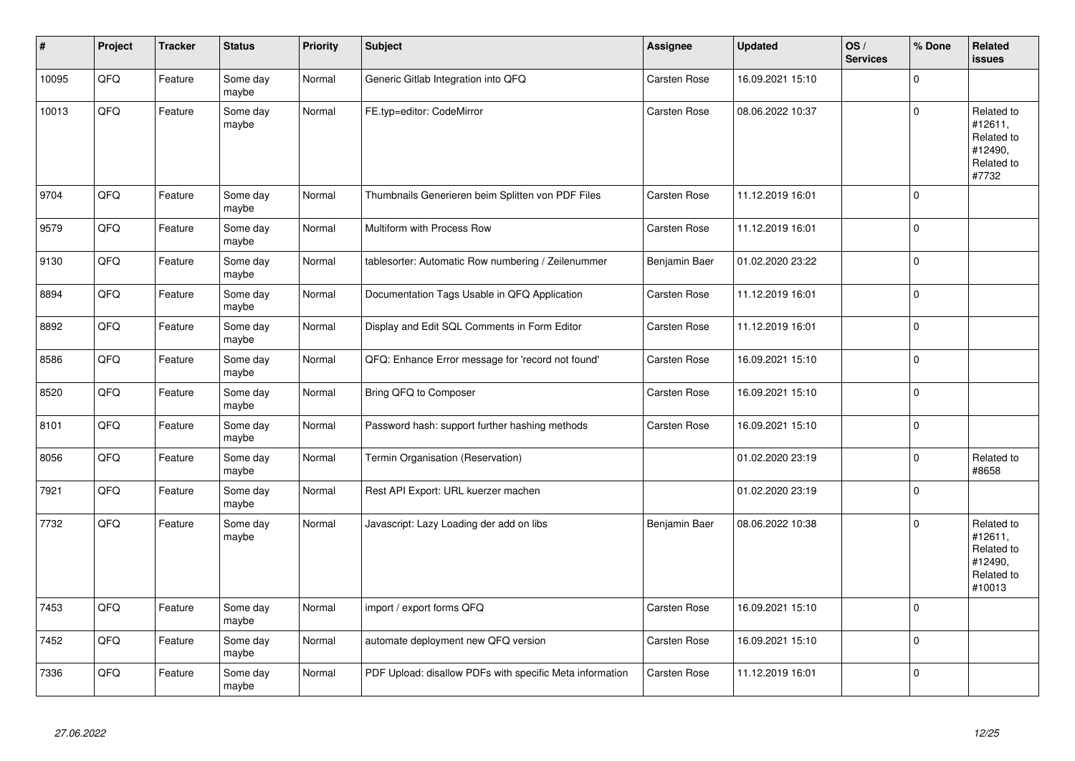| #     | Project | <b>Tracker</b> | <b>Status</b>     | Priority | <b>Subject</b>                                           | Assignee      | <b>Updated</b>   | OS/<br><b>Services</b> | % Done      | Related<br>issues                                                      |
|-------|---------|----------------|-------------------|----------|----------------------------------------------------------|---------------|------------------|------------------------|-------------|------------------------------------------------------------------------|
| 10095 | QFQ     | Feature        | Some day<br>maybe | Normal   | Generic Gitlab Integration into QFQ                      | Carsten Rose  | 16.09.2021 15:10 |                        | $\mathbf 0$ |                                                                        |
| 10013 | QFQ     | Feature        | Some day<br>maybe | Normal   | FE.typ=editor: CodeMirror                                | Carsten Rose  | 08.06.2022 10:37 |                        | $\mathbf 0$ | Related to<br>#12611,<br>Related to<br>#12490,<br>Related to<br>#7732  |
| 9704  | QFQ     | Feature        | Some day<br>maybe | Normal   | Thumbnails Generieren beim Splitten von PDF Files        | Carsten Rose  | 11.12.2019 16:01 |                        | $\mathbf 0$ |                                                                        |
| 9579  | QFQ     | Feature        | Some day<br>maybe | Normal   | Multiform with Process Row                               | Carsten Rose  | 11.12.2019 16:01 |                        | $\pmb{0}$   |                                                                        |
| 9130  | QFQ     | Feature        | Some day<br>maybe | Normal   | tablesorter: Automatic Row numbering / Zeilenummer       | Benjamin Baer | 01.02.2020 23:22 |                        | $\pmb{0}$   |                                                                        |
| 8894  | QFQ     | Feature        | Some day<br>maybe | Normal   | Documentation Tags Usable in QFQ Application             | Carsten Rose  | 11.12.2019 16:01 |                        | $\mathbf 0$ |                                                                        |
| 8892  | QFQ     | Feature        | Some day<br>maybe | Normal   | Display and Edit SQL Comments in Form Editor             | Carsten Rose  | 11.12.2019 16:01 |                        | $\mathbf 0$ |                                                                        |
| 8586  | QFQ     | Feature        | Some day<br>maybe | Normal   | QFQ: Enhance Error message for 'record not found'        | Carsten Rose  | 16.09.2021 15:10 |                        | $\mathbf 0$ |                                                                        |
| 8520  | QFQ     | Feature        | Some day<br>maybe | Normal   | Bring QFQ to Composer                                    | Carsten Rose  | 16.09.2021 15:10 |                        | $\pmb{0}$   |                                                                        |
| 8101  | QFQ     | Feature        | Some day<br>maybe | Normal   | Password hash: support further hashing methods           | Carsten Rose  | 16.09.2021 15:10 |                        | $\mathbf 0$ |                                                                        |
| 8056  | QFQ     | Feature        | Some day<br>maybe | Normal   | Termin Organisation (Reservation)                        |               | 01.02.2020 23:19 |                        | $\pmb{0}$   | Related to<br>#8658                                                    |
| 7921  | QFQ     | Feature        | Some day<br>maybe | Normal   | Rest API Export: URL kuerzer machen                      |               | 01.02.2020 23:19 |                        | $\mathbf 0$ |                                                                        |
| 7732  | QFQ     | Feature        | Some day<br>maybe | Normal   | Javascript: Lazy Loading der add on libs                 | Benjamin Baer | 08.06.2022 10:38 |                        | $\mathbf 0$ | Related to<br>#12611,<br>Related to<br>#12490,<br>Related to<br>#10013 |
| 7453  | QFQ     | Feature        | Some day<br>maybe | Normal   | import / export forms QFQ                                | Carsten Rose  | 16.09.2021 15:10 |                        | $\mathbf 0$ |                                                                        |
| 7452  | QFQ     | Feature        | Some day<br>maybe | Normal   | automate deployment new QFQ version                      | Carsten Rose  | 16.09.2021 15:10 |                        | $\mathbf 0$ |                                                                        |
| 7336  | QFQ     | Feature        | Some day<br>maybe | Normal   | PDF Upload: disallow PDFs with specific Meta information | Carsten Rose  | 11.12.2019 16:01 |                        | $\mathbf 0$ |                                                                        |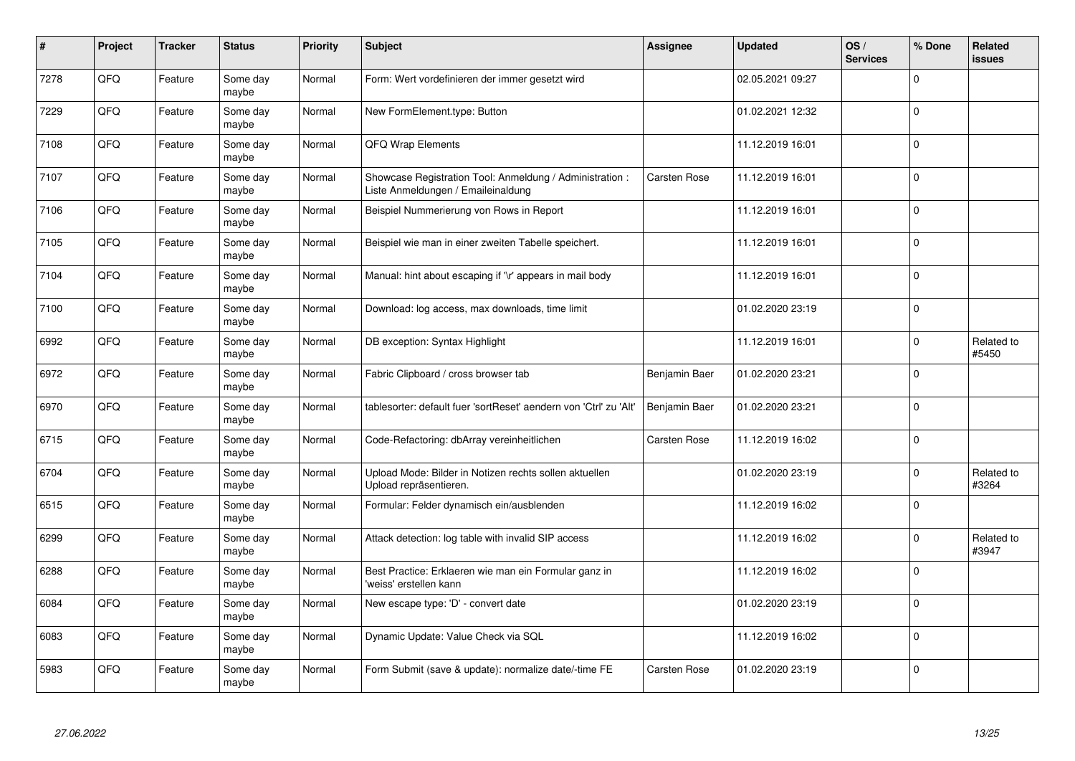| #    | Project | <b>Tracker</b> | <b>Status</b>     | <b>Priority</b> | Subject                                                                                        | <b>Assignee</b> | <b>Updated</b>   | OS/<br><b>Services</b> | % Done      | <b>Related</b><br><b>issues</b> |
|------|---------|----------------|-------------------|-----------------|------------------------------------------------------------------------------------------------|-----------------|------------------|------------------------|-------------|---------------------------------|
| 7278 | QFQ     | Feature        | Some day<br>maybe | Normal          | Form: Wert vordefinieren der immer gesetzt wird                                                |                 | 02.05.2021 09:27 |                        | $\Omega$    |                                 |
| 7229 | QFQ     | Feature        | Some day<br>maybe | Normal          | New FormElement.type: Button                                                                   |                 | 01.02.2021 12:32 |                        | $\mathbf 0$ |                                 |
| 7108 | QFQ     | Feature        | Some day<br>maybe | Normal          | QFQ Wrap Elements                                                                              |                 | 11.12.2019 16:01 |                        | $\Omega$    |                                 |
| 7107 | QFQ     | Feature        | Some day<br>maybe | Normal          | Showcase Registration Tool: Anmeldung / Administration :<br>Liste Anmeldungen / Emaileinaldung | Carsten Rose    | 11.12.2019 16:01 |                        | $\mathbf 0$ |                                 |
| 7106 | QFQ     | Feature        | Some day<br>maybe | Normal          | Beispiel Nummerierung von Rows in Report                                                       |                 | 11.12.2019 16:01 |                        | $\mathbf 0$ |                                 |
| 7105 | QFQ     | Feature        | Some day<br>maybe | Normal          | Beispiel wie man in einer zweiten Tabelle speichert.                                           |                 | 11.12.2019 16:01 |                        | $\mathbf 0$ |                                 |
| 7104 | QFQ     | Feature        | Some day<br>maybe | Normal          | Manual: hint about escaping if '\r' appears in mail body                                       |                 | 11.12.2019 16:01 |                        | $\Omega$    |                                 |
| 7100 | QFQ     | Feature        | Some day<br>maybe | Normal          | Download: log access, max downloads, time limit                                                |                 | 01.02.2020 23:19 |                        | $\Omega$    |                                 |
| 6992 | QFQ     | Feature        | Some day<br>maybe | Normal          | DB exception: Syntax Highlight                                                                 |                 | 11.12.2019 16:01 |                        | $\Omega$    | Related to<br>#5450             |
| 6972 | QFQ     | Feature        | Some day<br>maybe | Normal          | Fabric Clipboard / cross browser tab                                                           | Benjamin Baer   | 01.02.2020 23:21 |                        | $\mathbf 0$ |                                 |
| 6970 | QFQ     | Feature        | Some day<br>maybe | Normal          | tablesorter: default fuer 'sortReset' aendern von 'Ctrl' zu 'Alt'                              | Benjamin Baer   | 01.02.2020 23:21 |                        | $\mathbf 0$ |                                 |
| 6715 | QFQ     | Feature        | Some day<br>maybe | Normal          | Code-Refactoring: dbArray vereinheitlichen                                                     | Carsten Rose    | 11.12.2019 16:02 |                        | $\pmb{0}$   |                                 |
| 6704 | QFQ     | Feature        | Some day<br>maybe | Normal          | Upload Mode: Bilder in Notizen rechts sollen aktuellen<br>Upload repräsentieren.               |                 | 01.02.2020 23:19 |                        | $\Omega$    | Related to<br>#3264             |
| 6515 | QFQ     | Feature        | Some day<br>maybe | Normal          | Formular: Felder dynamisch ein/ausblenden                                                      |                 | 11.12.2019 16:02 |                        | $\pmb{0}$   |                                 |
| 6299 | QFQ     | Feature        | Some day<br>maybe | Normal          | Attack detection: log table with invalid SIP access                                            |                 | 11.12.2019 16:02 |                        | $\Omega$    | Related to<br>#3947             |
| 6288 | QFQ     | Feature        | Some day<br>maybe | Normal          | Best Practice: Erklaeren wie man ein Formular ganz in<br>'weiss' erstellen kann                |                 | 11.12.2019 16:02 |                        | $\Omega$    |                                 |
| 6084 | QFQ     | Feature        | Some day<br>maybe | Normal          | New escape type: 'D' - convert date                                                            |                 | 01.02.2020 23:19 |                        | $\Omega$    |                                 |
| 6083 | QFQ     | Feature        | Some day<br>maybe | Normal          | Dynamic Update: Value Check via SQL                                                            |                 | 11.12.2019 16:02 |                        | $\Omega$    |                                 |
| 5983 | QFQ     | Feature        | Some day<br>maybe | Normal          | Form Submit (save & update): normalize date/-time FE                                           | Carsten Rose    | 01.02.2020 23:19 |                        | $\Omega$    |                                 |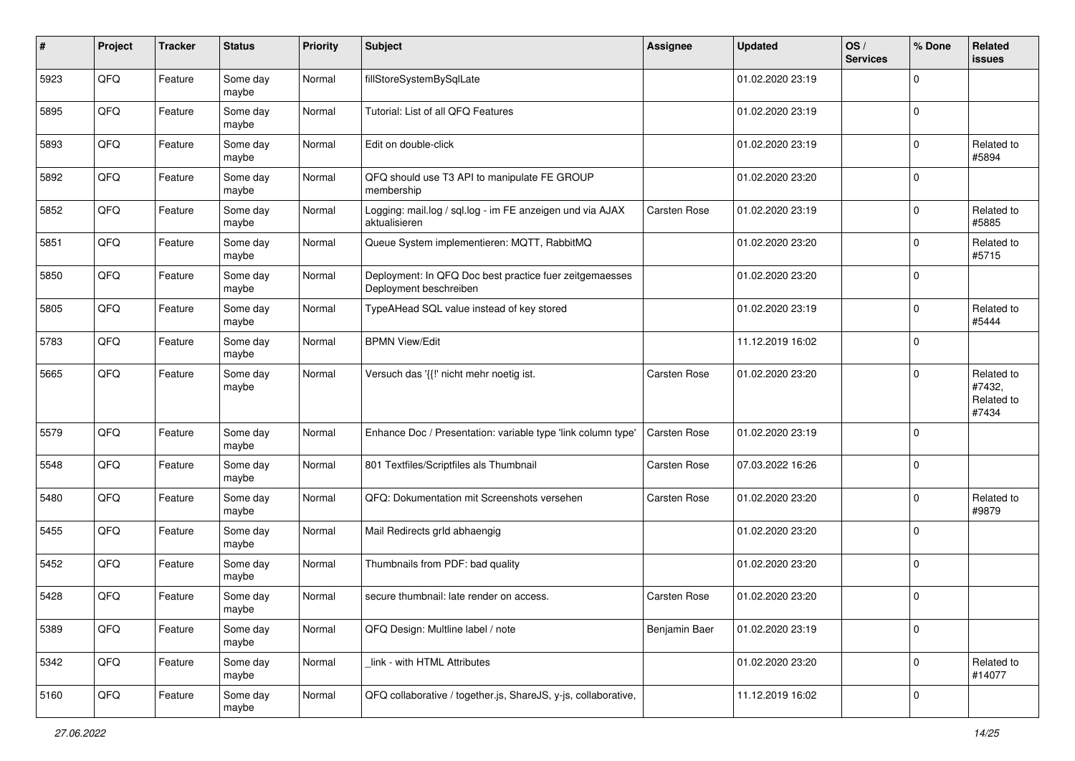| #    | Project | <b>Tracker</b> | <b>Status</b>     | <b>Priority</b> | <b>Subject</b>                                                                    | <b>Assignee</b> | <b>Updated</b>   | OS/<br><b>Services</b> | % Done         | Related<br><b>issues</b>                    |
|------|---------|----------------|-------------------|-----------------|-----------------------------------------------------------------------------------|-----------------|------------------|------------------------|----------------|---------------------------------------------|
| 5923 | QFQ     | Feature        | Some day<br>maybe | Normal          | fillStoreSystemBySqlLate                                                          |                 | 01.02.2020 23:19 |                        | $\mathbf 0$    |                                             |
| 5895 | QFQ     | Feature        | Some day<br>maybe | Normal          | Tutorial: List of all QFQ Features                                                |                 | 01.02.2020 23:19 |                        | $\mathbf 0$    |                                             |
| 5893 | QFQ     | Feature        | Some day<br>maybe | Normal          | Edit on double-click                                                              |                 | 01.02.2020 23:19 |                        | $\mathbf 0$    | Related to<br>#5894                         |
| 5892 | QFQ     | Feature        | Some day<br>maybe | Normal          | QFQ should use T3 API to manipulate FE GROUP<br>membership                        |                 | 01.02.2020 23:20 |                        | $\mathbf 0$    |                                             |
| 5852 | QFQ     | Feature        | Some day<br>maybe | Normal          | Logging: mail.log / sql.log - im FE anzeigen und via AJAX<br>aktualisieren        | Carsten Rose    | 01.02.2020 23:19 |                        | $\mathbf 0$    | Related to<br>#5885                         |
| 5851 | QFQ     | Feature        | Some day<br>maybe | Normal          | Queue System implementieren: MQTT, RabbitMQ                                       |                 | 01.02.2020 23:20 |                        | $\mathbf 0$    | Related to<br>#5715                         |
| 5850 | QFQ     | Feature        | Some day<br>maybe | Normal          | Deployment: In QFQ Doc best practice fuer zeitgemaesses<br>Deployment beschreiben |                 | 01.02.2020 23:20 |                        | $\mathbf 0$    |                                             |
| 5805 | QFQ     | Feature        | Some day<br>maybe | Normal          | TypeAHead SQL value instead of key stored                                         |                 | 01.02.2020 23:19 |                        | $\mathbf 0$    | Related to<br>#5444                         |
| 5783 | QFQ     | Feature        | Some day<br>maybe | Normal          | <b>BPMN View/Edit</b>                                                             |                 | 11.12.2019 16:02 |                        | $\mathbf 0$    |                                             |
| 5665 | QFQ     | Feature        | Some day<br>maybe | Normal          | Versuch das '{{!' nicht mehr noetig ist.                                          | Carsten Rose    | 01.02.2020 23:20 |                        | $\mathbf 0$    | Related to<br>#7432,<br>Related to<br>#7434 |
| 5579 | QFQ     | Feature        | Some day<br>maybe | Normal          | Enhance Doc / Presentation: variable type 'link column type'                      | Carsten Rose    | 01.02.2020 23:19 |                        | $\mathbf 0$    |                                             |
| 5548 | QFQ     | Feature        | Some day<br>maybe | Normal          | 801 Textfiles/Scriptfiles als Thumbnail                                           | Carsten Rose    | 07.03.2022 16:26 |                        | $\mathbf 0$    |                                             |
| 5480 | QFQ     | Feature        | Some day<br>maybe | Normal          | QFQ: Dokumentation mit Screenshots versehen                                       | Carsten Rose    | 01.02.2020 23:20 |                        | $\mathbf 0$    | Related to<br>#9879                         |
| 5455 | QFQ     | Feature        | Some day<br>maybe | Normal          | Mail Redirects grld abhaengig                                                     |                 | 01.02.2020 23:20 |                        | $\mathbf 0$    |                                             |
| 5452 | QFQ     | Feature        | Some day<br>maybe | Normal          | Thumbnails from PDF: bad quality                                                  |                 | 01.02.2020 23:20 |                        | $\mathbf 0$    |                                             |
| 5428 | QFQ     | Feature        | Some day<br>maybe | Normal          | secure thumbnail: late render on access.                                          | Carsten Rose    | 01.02.2020 23:20 |                        | $\mathbf 0$    |                                             |
| 5389 | QFQ     | Feature        | Some day<br>maybe | Normal          | QFQ Design: Multline label / note                                                 | Benjamin Baer   | 01.02.2020 23:19 |                        | $\mathbf 0$    |                                             |
| 5342 | QFQ     | Feature        | Some day<br>maybe | Normal          | link - with HTML Attributes                                                       |                 | 01.02.2020 23:20 |                        | $\mathbf 0$    | Related to<br>#14077                        |
| 5160 | QFQ     | Feature        | Some day<br>maybe | Normal          | QFQ collaborative / together.js, ShareJS, y-js, collaborative,                    |                 | 11.12.2019 16:02 |                        | $\overline{0}$ |                                             |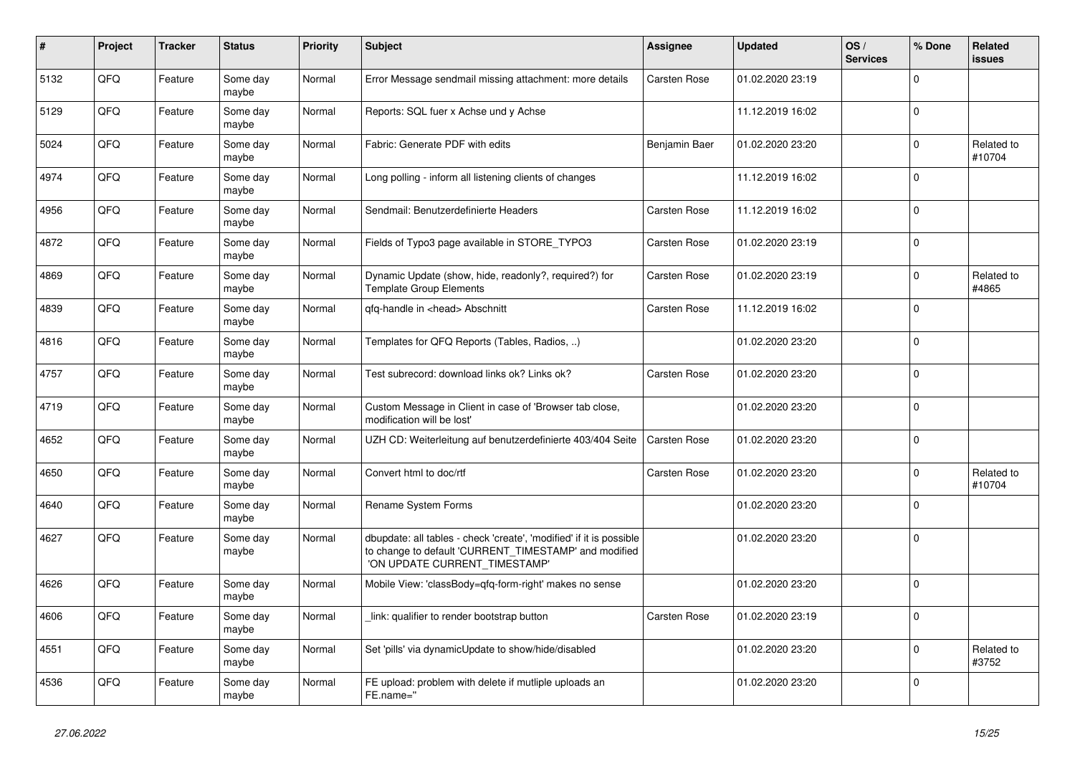| #    | Project | <b>Tracker</b> | <b>Status</b>     | <b>Priority</b> | <b>Subject</b>                                                                                                                                                | <b>Assignee</b> | <b>Updated</b>   | OS/<br><b>Services</b> | % Done      | <b>Related</b><br><b>issues</b> |
|------|---------|----------------|-------------------|-----------------|---------------------------------------------------------------------------------------------------------------------------------------------------------------|-----------------|------------------|------------------------|-------------|---------------------------------|
| 5132 | QFQ     | Feature        | Some day<br>maybe | Normal          | Error Message sendmail missing attachment: more details                                                                                                       | Carsten Rose    | 01.02.2020 23:19 |                        | $\Omega$    |                                 |
| 5129 | QFQ     | Feature        | Some day<br>maybe | Normal          | Reports: SQL fuer x Achse und y Achse                                                                                                                         |                 | 11.12.2019 16:02 |                        | $\mathbf 0$ |                                 |
| 5024 | QFQ     | Feature        | Some day<br>maybe | Normal          | Fabric: Generate PDF with edits                                                                                                                               | Benjamin Baer   | 01.02.2020 23:20 |                        | $\mathbf 0$ | Related to<br>#10704            |
| 4974 | QFQ     | Feature        | Some day<br>maybe | Normal          | Long polling - inform all listening clients of changes                                                                                                        |                 | 11.12.2019 16:02 |                        | $\mathbf 0$ |                                 |
| 4956 | QFQ     | Feature        | Some day<br>maybe | Normal          | Sendmail: Benutzerdefinierte Headers                                                                                                                          | Carsten Rose    | 11.12.2019 16:02 |                        | $\mathbf 0$ |                                 |
| 4872 | QFQ     | Feature        | Some day<br>maybe | Normal          | Fields of Typo3 page available in STORE_TYPO3                                                                                                                 | Carsten Rose    | 01.02.2020 23:19 |                        | $\Omega$    |                                 |
| 4869 | QFQ     | Feature        | Some day<br>maybe | Normal          | Dynamic Update (show, hide, readonly?, required?) for<br><b>Template Group Elements</b>                                                                       | Carsten Rose    | 01.02.2020 23:19 |                        | $\Omega$    | Related to<br>#4865             |
| 4839 | QFQ     | Feature        | Some day<br>maybe | Normal          | gfg-handle in <head> Abschnitt</head>                                                                                                                         | Carsten Rose    | 11.12.2019 16:02 |                        | $\Omega$    |                                 |
| 4816 | QFQ     | Feature        | Some day<br>maybe | Normal          | Templates for QFQ Reports (Tables, Radios, )                                                                                                                  |                 | 01.02.2020 23:20 |                        | $\Omega$    |                                 |
| 4757 | QFQ     | Feature        | Some day<br>maybe | Normal          | Test subrecord: download links ok? Links ok?                                                                                                                  | Carsten Rose    | 01.02.2020 23:20 |                        | $\Omega$    |                                 |
| 4719 | QFQ     | Feature        | Some day<br>maybe | Normal          | Custom Message in Client in case of 'Browser tab close,<br>modification will be lost'                                                                         |                 | 01.02.2020 23:20 |                        | $\mathbf 0$ |                                 |
| 4652 | QFQ     | Feature        | Some day<br>maybe | Normal          | UZH CD: Weiterleitung auf benutzerdefinierte 403/404 Seite                                                                                                    | Carsten Rose    | 01.02.2020 23:20 |                        | $\mathbf 0$ |                                 |
| 4650 | QFQ     | Feature        | Some day<br>maybe | Normal          | Convert html to doc/rtf                                                                                                                                       | Carsten Rose    | 01.02.2020 23:20 |                        | $\Omega$    | Related to<br>#10704            |
| 4640 | QFQ     | Feature        | Some day<br>maybe | Normal          | Rename System Forms                                                                                                                                           |                 | 01.02.2020 23:20 |                        | $\Omega$    |                                 |
| 4627 | QFQ     | Feature        | Some day<br>maybe | Normal          | dbupdate: all tables - check 'create', 'modified' if it is possible<br>to change to default 'CURRENT_TIMESTAMP' and modified<br>'ON UPDATE CURRENT_TIMESTAMP' |                 | 01.02.2020 23:20 |                        | $\mathbf 0$ |                                 |
| 4626 | QFQ     | Feature        | Some day<br>maybe | Normal          | Mobile View: 'classBody=qfq-form-right' makes no sense                                                                                                        |                 | 01.02.2020 23:20 |                        | $\Omega$    |                                 |
| 4606 | QFQ     | Feature        | Some day<br>maybe | Normal          | link: qualifier to render bootstrap button                                                                                                                    | Carsten Rose    | 01.02.2020 23:19 |                        | $\Omega$    |                                 |
| 4551 | QFQ     | Feature        | Some day<br>maybe | Normal          | Set 'pills' via dynamicUpdate to show/hide/disabled                                                                                                           |                 | 01.02.2020 23:20 |                        | $\Omega$    | Related to<br>#3752             |
| 4536 | QFQ     | Feature        | Some day<br>maybe | Normal          | FE upload: problem with delete if mutliple uploads an<br>FE.name="                                                                                            |                 | 01.02.2020 23:20 |                        | $\mathbf 0$ |                                 |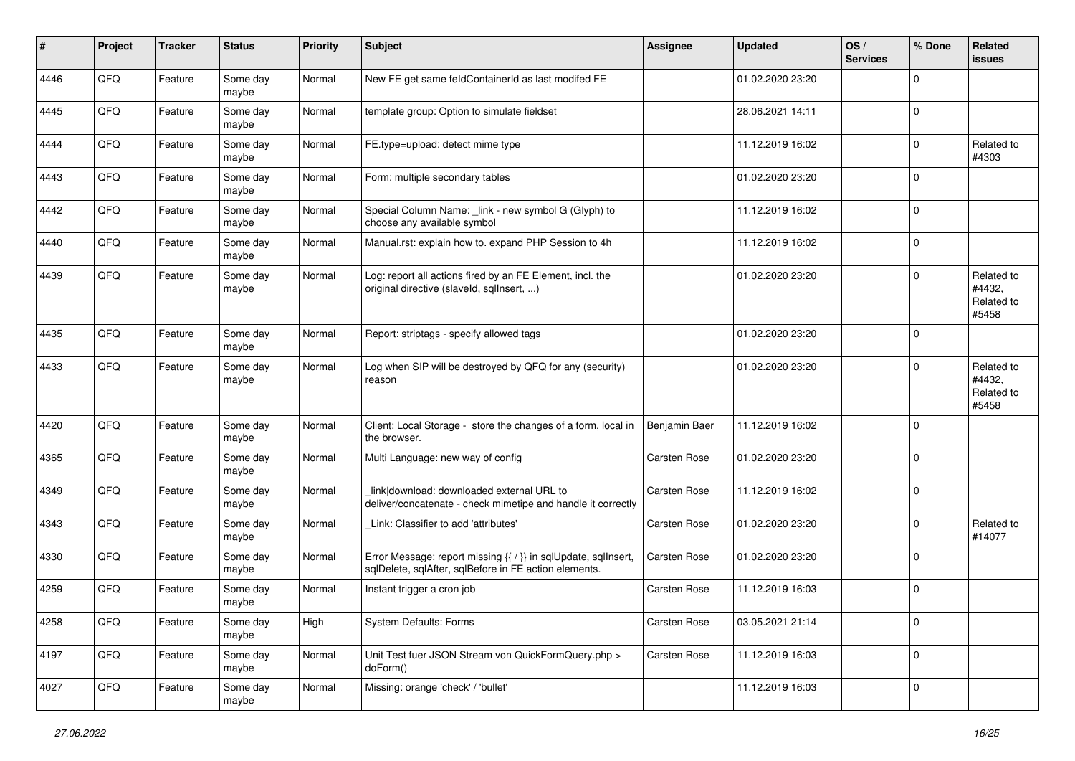| #    | Project | <b>Tracker</b> | <b>Status</b>     | <b>Priority</b> | <b>Subject</b>                                                                                                          | <b>Assignee</b> | <b>Updated</b>   | OS/<br><b>Services</b> | % Done      | Related<br>issues                           |
|------|---------|----------------|-------------------|-----------------|-------------------------------------------------------------------------------------------------------------------------|-----------------|------------------|------------------------|-------------|---------------------------------------------|
| 4446 | QFQ     | Feature        | Some day<br>maybe | Normal          | New FE get same feldContainerId as last modifed FE                                                                      |                 | 01.02.2020 23:20 |                        | $\Omega$    |                                             |
| 4445 | QFQ     | Feature        | Some day<br>maybe | Normal          | template group: Option to simulate fieldset                                                                             |                 | 28.06.2021 14:11 |                        | $\mathbf 0$ |                                             |
| 4444 | QFQ     | Feature        | Some day<br>maybe | Normal          | FE.type=upload: detect mime type                                                                                        |                 | 11.12.2019 16:02 |                        | 0           | Related to<br>#4303                         |
| 4443 | QFQ     | Feature        | Some day<br>maybe | Normal          | Form: multiple secondary tables                                                                                         |                 | 01.02.2020 23:20 |                        | 0           |                                             |
| 4442 | QFQ     | Feature        | Some day<br>maybe | Normal          | Special Column Name: _link - new symbol G (Glyph) to<br>choose any available symbol                                     |                 | 11.12.2019 16:02 |                        | $\mathbf 0$ |                                             |
| 4440 | QFQ     | Feature        | Some day<br>maybe | Normal          | Manual.rst: explain how to. expand PHP Session to 4h                                                                    |                 | 11.12.2019 16:02 |                        | 0           |                                             |
| 4439 | QFQ     | Feature        | Some day<br>maybe | Normal          | Log: report all actions fired by an FE Element, incl. the<br>original directive (slaveld, sqllnsert, )                  |                 | 01.02.2020 23:20 |                        | $\Omega$    | Related to<br>#4432,<br>Related to<br>#5458 |
| 4435 | QFQ     | Feature        | Some day<br>maybe | Normal          | Report: striptags - specify allowed tags                                                                                |                 | 01.02.2020 23:20 |                        | $\Omega$    |                                             |
| 4433 | QFQ     | Feature        | Some day<br>maybe | Normal          | Log when SIP will be destroyed by QFQ for any (security)<br>reason                                                      |                 | 01.02.2020 23:20 |                        | $\mathbf 0$ | Related to<br>#4432,<br>Related to<br>#5458 |
| 4420 | QFQ     | Feature        | Some day<br>maybe | Normal          | Client: Local Storage - store the changes of a form, local in<br>the browser.                                           | Benjamin Baer   | 11.12.2019 16:02 |                        | $\Omega$    |                                             |
| 4365 | QFQ     | Feature        | Some day<br>maybe | Normal          | Multi Language: new way of config                                                                                       | Carsten Rose    | 01.02.2020 23:20 |                        | $\Omega$    |                                             |
| 4349 | QFQ     | Feature        | Some day<br>maybe | Normal          | link download: downloaded external URL to<br>deliver/concatenate - check mimetipe and handle it correctly               | Carsten Rose    | 11.12.2019 16:02 |                        | $\mathbf 0$ |                                             |
| 4343 | QFQ     | Feature        | Some day<br>maybe | Normal          | Link: Classifier to add 'attributes'                                                                                    | Carsten Rose    | 01.02.2020 23:20 |                        | 0           | Related to<br>#14077                        |
| 4330 | QFQ     | Feature        | Some day<br>maybe | Normal          | Error Message: report missing {{ / }} in sqlUpdate, sqlInsert,<br>sqlDelete, sqlAfter, sqlBefore in FE action elements. | Carsten Rose    | 01.02.2020 23:20 |                        | $\mathbf 0$ |                                             |
| 4259 | QFQ     | Feature        | Some day<br>maybe | Normal          | Instant trigger a cron job                                                                                              | Carsten Rose    | 11.12.2019 16:03 |                        | $\mathbf 0$ |                                             |
| 4258 | QFQ     | Feature        | Some day<br>maybe | High            | System Defaults: Forms                                                                                                  | Carsten Rose    | 03.05.2021 21:14 |                        | $\pmb{0}$   |                                             |
| 4197 | QFQ     | Feature        | Some day<br>maybe | Normal          | Unit Test fuer JSON Stream von QuickFormQuery.php ><br>doForm()                                                         | Carsten Rose    | 11.12.2019 16:03 |                        | 0           |                                             |
| 4027 | QFQ     | Feature        | Some day<br>maybe | Normal          | Missing: orange 'check' / 'bullet'                                                                                      |                 | 11.12.2019 16:03 |                        | $\pmb{0}$   |                                             |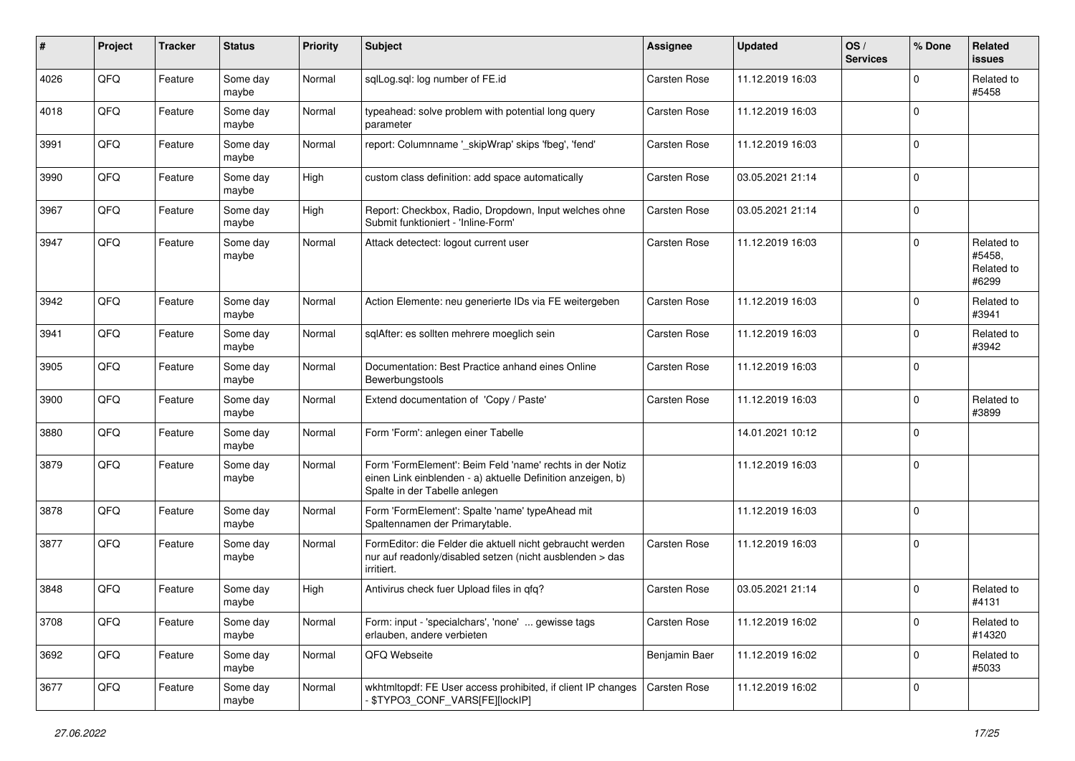| #    | Project | <b>Tracker</b> | <b>Status</b>     | <b>Priority</b> | <b>Subject</b>                                                                                                                                           | <b>Assignee</b>     | <b>Updated</b>   | OS/<br><b>Services</b> | % Done      | <b>Related</b><br>issues                    |
|------|---------|----------------|-------------------|-----------------|----------------------------------------------------------------------------------------------------------------------------------------------------------|---------------------|------------------|------------------------|-------------|---------------------------------------------|
| 4026 | QFQ     | Feature        | Some day<br>maybe | Normal          | sqlLog.sql: log number of FE.id                                                                                                                          | Carsten Rose        | 11.12.2019 16:03 |                        | 0           | Related to<br>#5458                         |
| 4018 | QFQ     | Feature        | Some day<br>maybe | Normal          | typeahead: solve problem with potential long query<br>parameter                                                                                          | Carsten Rose        | 11.12.2019 16:03 |                        | 0           |                                             |
| 3991 | QFQ     | Feature        | Some day<br>maybe | Normal          | report: Columnname '_skipWrap' skips 'fbeg', 'fend'                                                                                                      | Carsten Rose        | 11.12.2019 16:03 |                        | 0           |                                             |
| 3990 | QFQ     | Feature        | Some day<br>maybe | High            | custom class definition: add space automatically                                                                                                         | Carsten Rose        | 03.05.2021 21:14 |                        | 0           |                                             |
| 3967 | QFQ     | Feature        | Some day<br>maybe | High            | Report: Checkbox, Radio, Dropdown, Input welches ohne<br>Submit funktioniert - 'Inline-Form'                                                             | <b>Carsten Rose</b> | 03.05.2021 21:14 |                        | 0           |                                             |
| 3947 | QFQ     | Feature        | Some day<br>maybe | Normal          | Attack detectect: logout current user                                                                                                                    | Carsten Rose        | 11.12.2019 16:03 |                        | 0           | Related to<br>#5458,<br>Related to<br>#6299 |
| 3942 | QFQ     | Feature        | Some day<br>maybe | Normal          | Action Elemente: neu generierte IDs via FE weitergeben                                                                                                   | Carsten Rose        | 11.12.2019 16:03 |                        | $\mathbf 0$ | Related to<br>#3941                         |
| 3941 | QFQ     | Feature        | Some day<br>maybe | Normal          | sqlAfter: es sollten mehrere moeglich sein                                                                                                               | Carsten Rose        | 11.12.2019 16:03 |                        | $\mathbf 0$ | Related to<br>#3942                         |
| 3905 | QFQ     | Feature        | Some day<br>maybe | Normal          | Documentation: Best Practice anhand eines Online<br>Bewerbungstools                                                                                      | Carsten Rose        | 11.12.2019 16:03 |                        | 0           |                                             |
| 3900 | QFQ     | Feature        | Some day<br>maybe | Normal          | Extend documentation of 'Copy / Paste'                                                                                                                   | Carsten Rose        | 11.12.2019 16:03 |                        | 0           | Related to<br>#3899                         |
| 3880 | QFQ     | Feature        | Some day<br>maybe | Normal          | Form 'Form': anlegen einer Tabelle                                                                                                                       |                     | 14.01.2021 10:12 |                        | $\mathbf 0$ |                                             |
| 3879 | QFQ     | Feature        | Some day<br>maybe | Normal          | Form 'FormElement': Beim Feld 'name' rechts in der Notiz<br>einen Link einblenden - a) aktuelle Definition anzeigen, b)<br>Spalte in der Tabelle anlegen |                     | 11.12.2019 16:03 |                        | 0           |                                             |
| 3878 | QFQ     | Feature        | Some day<br>maybe | Normal          | Form 'FormElement': Spalte 'name' typeAhead mit<br>Spaltennamen der Primarytable.                                                                        |                     | 11.12.2019 16:03 |                        | 0           |                                             |
| 3877 | QFQ     | Feature        | Some day<br>maybe | Normal          | FormEditor: die Felder die aktuell nicht gebraucht werden<br>nur auf readonly/disabled setzen (nicht ausblenden > das<br>irritiert.                      | Carsten Rose        | 11.12.2019 16:03 |                        | 0           |                                             |
| 3848 | QFQ     | Feature        | Some day<br>maybe | High            | Antivirus check fuer Upload files in qfq?                                                                                                                | Carsten Rose        | 03.05.2021 21:14 |                        | 0           | Related to<br>#4131                         |
| 3708 | QFQ     | Feature        | Some day<br>maybe | Normal          | Form: input - 'specialchars', 'none'  gewisse tags<br>erlauben, andere verbieten                                                                         | Carsten Rose        | 11.12.2019 16:02 |                        | 0           | Related to<br>#14320                        |
| 3692 | QFQ     | Feature        | Some day<br>maybe | Normal          | QFQ Webseite                                                                                                                                             | Benjamin Baer       | 11.12.2019 16:02 |                        | $\mathbf 0$ | Related to<br>#5033                         |
| 3677 | QFQ     | Feature        | Some day<br>maybe | Normal          | wkhtmltopdf: FE User access prohibited, if client IP changes<br>\$TYPO3_CONF_VARS[FE][lockIP]                                                            | Carsten Rose        | 11.12.2019 16:02 |                        | 0           |                                             |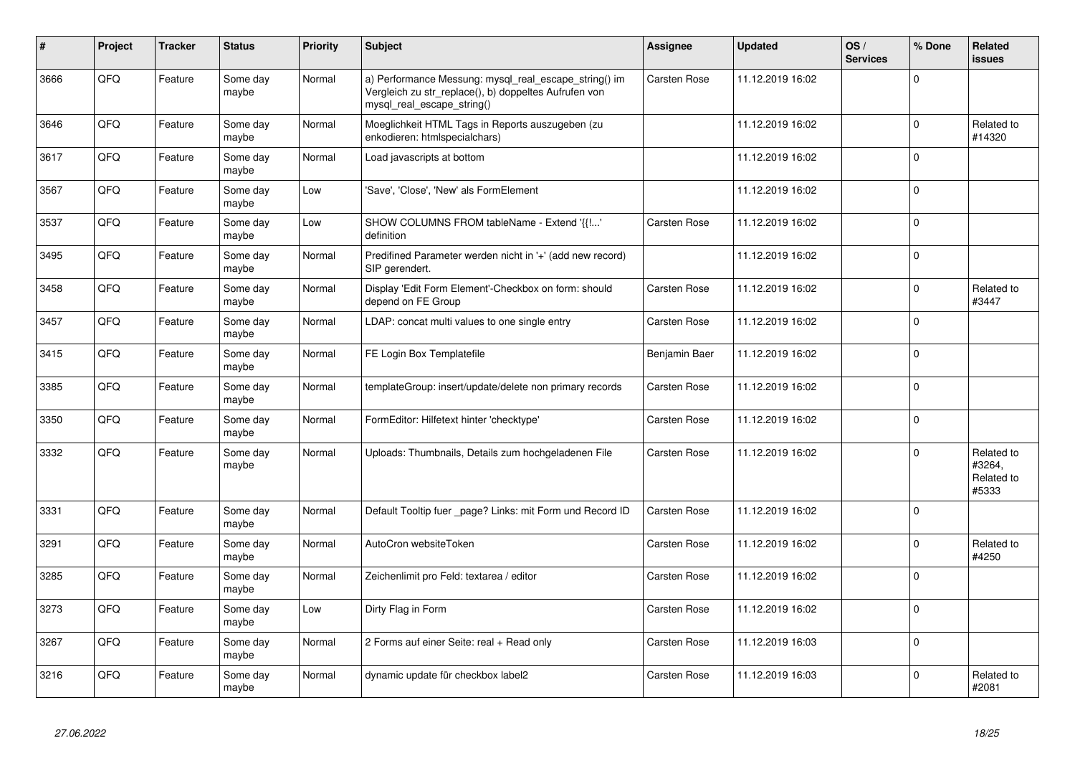| #    | Project | <b>Tracker</b> | <b>Status</b>     | <b>Priority</b> | <b>Subject</b>                                                                                                                               | <b>Assignee</b> | <b>Updated</b>   | OS/<br><b>Services</b> | % Done      | Related<br>issues                           |
|------|---------|----------------|-------------------|-----------------|----------------------------------------------------------------------------------------------------------------------------------------------|-----------------|------------------|------------------------|-------------|---------------------------------------------|
| 3666 | QFQ     | Feature        | Some day<br>maybe | Normal          | a) Performance Messung: mysql_real_escape_string() im<br>Vergleich zu str_replace(), b) doppeltes Aufrufen von<br>mysql_real_escape_string() | Carsten Rose    | 11.12.2019 16:02 |                        | $\Omega$    |                                             |
| 3646 | QFQ     | Feature        | Some day<br>maybe | Normal          | Moeglichkeit HTML Tags in Reports auszugeben (zu<br>enkodieren: htmlspecialchars)                                                            |                 | 11.12.2019 16:02 |                        | $\mathbf 0$ | Related to<br>#14320                        |
| 3617 | QFQ     | Feature        | Some dav<br>maybe | Normal          | Load javascripts at bottom                                                                                                                   |                 | 11.12.2019 16:02 |                        | $\Omega$    |                                             |
| 3567 | QFQ     | Feature        | Some dav<br>maybe | Low             | 'Save', 'Close', 'New' als FormElement                                                                                                       |                 | 11.12.2019 16:02 |                        | $\mathbf 0$ |                                             |
| 3537 | QFQ     | Feature        | Some day<br>maybe | Low             | SHOW COLUMNS FROM tableName - Extend '{{!'<br>definition                                                                                     | Carsten Rose    | 11.12.2019 16:02 |                        | $\Omega$    |                                             |
| 3495 | QFQ     | Feature        | Some day<br>maybe | Normal          | Predifined Parameter werden nicht in '+' (add new record)<br>SIP gerendert.                                                                  |                 | 11.12.2019 16:02 |                        | $\Omega$    |                                             |
| 3458 | QFQ     | Feature        | Some day<br>maybe | Normal          | Display 'Edit Form Element'-Checkbox on form: should<br>depend on FE Group                                                                   | Carsten Rose    | 11.12.2019 16:02 |                        | $\mathbf 0$ | Related to<br>#3447                         |
| 3457 | QFQ     | Feature        | Some day<br>maybe | Normal          | LDAP: concat multi values to one single entry                                                                                                | Carsten Rose    | 11.12.2019 16:02 |                        | $\Omega$    |                                             |
| 3415 | QFQ     | Feature        | Some day<br>maybe | Normal          | FE Login Box Templatefile                                                                                                                    | Benjamin Baer   | 11.12.2019 16:02 |                        | $\mathbf 0$ |                                             |
| 3385 | QFQ     | Feature        | Some dav<br>maybe | Normal          | templateGroup: insert/update/delete non primary records                                                                                      | Carsten Rose    | 11.12.2019 16:02 |                        | $\Omega$    |                                             |
| 3350 | QFQ     | Feature        | Some day<br>maybe | Normal          | FormEditor: Hilfetext hinter 'checktype'                                                                                                     | Carsten Rose    | 11.12.2019 16:02 |                        | $\pmb{0}$   |                                             |
| 3332 | QFQ     | Feature        | Some day<br>maybe | Normal          | Uploads: Thumbnails, Details zum hochgeladenen File                                                                                          | Carsten Rose    | 11.12.2019 16:02 |                        | $\Omega$    | Related to<br>#3264.<br>Related to<br>#5333 |
| 3331 | QFQ     | Feature        | Some day<br>maybe | Normal          | Default Tooltip fuer page? Links: mit Form und Record ID                                                                                     | Carsten Rose    | 11.12.2019 16:02 |                        | $\Omega$    |                                             |
| 3291 | QFQ     | Feature        | Some dav<br>maybe | Normal          | AutoCron websiteToken                                                                                                                        | Carsten Rose    | 11.12.2019 16:02 |                        | $\Omega$    | Related to<br>#4250                         |
| 3285 | QFQ     | Feature        | Some day<br>maybe | Normal          | Zeichenlimit pro Feld: textarea / editor                                                                                                     | Carsten Rose    | 11.12.2019 16:02 |                        | $\Omega$    |                                             |
| 3273 | QFQ     | Feature        | Some day<br>maybe | Low             | Dirty Flag in Form                                                                                                                           | Carsten Rose    | 11.12.2019 16:02 |                        | $\Omega$    |                                             |
| 3267 | QFQ     | Feature        | Some day<br>maybe | Normal          | 2 Forms auf einer Seite: real + Read only                                                                                                    | Carsten Rose    | 11.12.2019 16:03 |                        | 0           |                                             |
| 3216 | QFQ     | Feature        | Some day<br>maybe | Normal          | dynamic update für checkbox label2                                                                                                           | Carsten Rose    | 11.12.2019 16:03 |                        | $\Omega$    | Related to<br>#2081                         |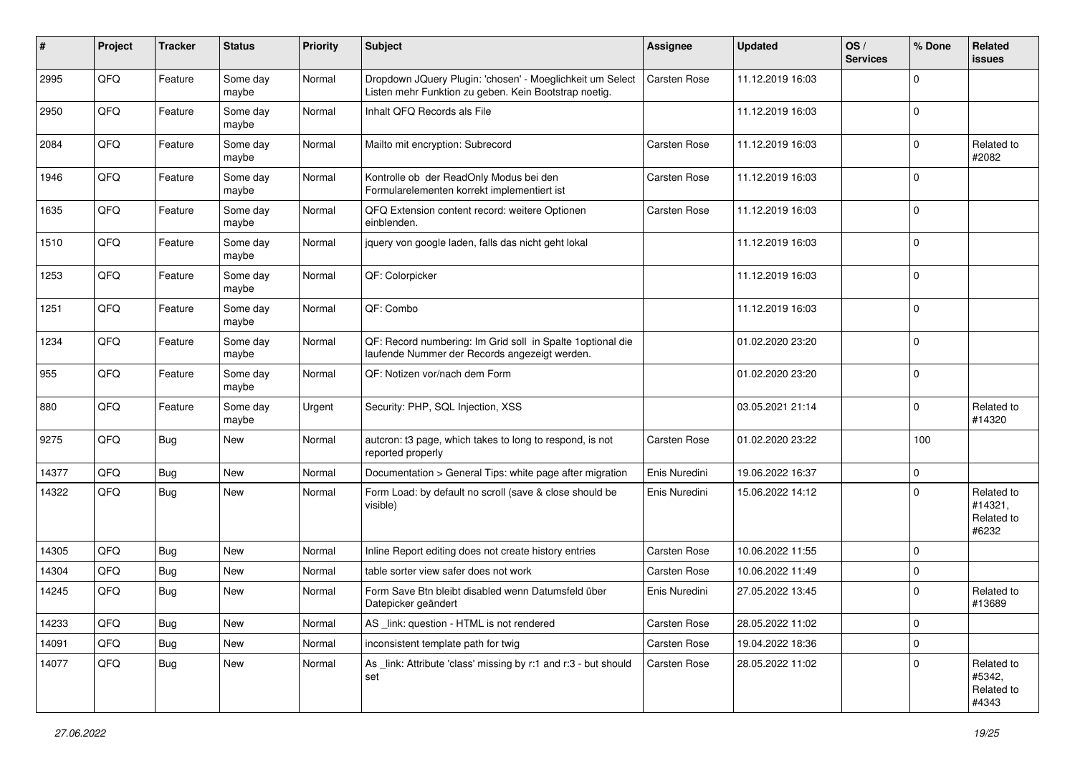| $\vert$ # | Project | <b>Tracker</b> | <b>Status</b>     | <b>Priority</b> | <b>Subject</b>                                                                                                     | <b>Assignee</b> | <b>Updated</b>   | OS/<br><b>Services</b> | % Done      | <b>Related</b><br>issues                     |
|-----------|---------|----------------|-------------------|-----------------|--------------------------------------------------------------------------------------------------------------------|-----------------|------------------|------------------------|-------------|----------------------------------------------|
| 2995      | QFQ     | Feature        | Some day<br>maybe | Normal          | Dropdown JQuery Plugin: 'chosen' - Moeglichkeit um Select<br>Listen mehr Funktion zu geben. Kein Bootstrap noetig. | Carsten Rose    | 11.12.2019 16:03 |                        | $\mathbf 0$ |                                              |
| 2950      | QFQ     | Feature        | Some day<br>maybe | Normal          | Inhalt QFQ Records als File                                                                                        |                 | 11.12.2019 16:03 |                        | $\mathbf 0$ |                                              |
| 2084      | QFQ     | Feature        | Some day<br>maybe | Normal          | Mailto mit encryption: Subrecord                                                                                   | Carsten Rose    | 11.12.2019 16:03 |                        | $\mathbf 0$ | Related to<br>#2082                          |
| 1946      | QFQ     | Feature        | Some day<br>maybe | Normal          | Kontrolle ob der ReadOnly Modus bei den<br>Formularelementen korrekt implementiert ist                             | Carsten Rose    | 11.12.2019 16:03 |                        | $\mathbf 0$ |                                              |
| 1635      | QFQ     | Feature        | Some day<br>maybe | Normal          | QFQ Extension content record: weitere Optionen<br>einblenden.                                                      | Carsten Rose    | 11.12.2019 16:03 |                        | $\mathbf 0$ |                                              |
| 1510      | QFQ     | Feature        | Some day<br>maybe | Normal          | jquery von google laden, falls das nicht geht lokal                                                                |                 | 11.12.2019 16:03 |                        | $\mathbf 0$ |                                              |
| 1253      | QFQ     | Feature        | Some day<br>maybe | Normal          | QF: Colorpicker                                                                                                    |                 | 11.12.2019 16:03 |                        | $\mathbf 0$ |                                              |
| 1251      | QFQ     | Feature        | Some day<br>maybe | Normal          | QF: Combo                                                                                                          |                 | 11.12.2019 16:03 |                        | $\mathbf 0$ |                                              |
| 1234      | QFQ     | Feature        | Some day<br>maybe | Normal          | QF: Record numbering: Im Grid soll in Spalte 1 optional die<br>laufende Nummer der Records angezeigt werden.       |                 | 01.02.2020 23:20 |                        | $\mathbf 0$ |                                              |
| 955       | QFQ     | Feature        | Some day<br>maybe | Normal          | QF: Notizen vor/nach dem Form                                                                                      |                 | 01.02.2020 23:20 |                        | $\mathbf 0$ |                                              |
| 880       | QFQ     | Feature        | Some day<br>maybe | Urgent          | Security: PHP, SQL Injection, XSS                                                                                  |                 | 03.05.2021 21:14 |                        | 0           | Related to<br>#14320                         |
| 9275      | QFQ     | Bug            | New               | Normal          | autcron: t3 page, which takes to long to respond, is not<br>reported properly                                      | Carsten Rose    | 01.02.2020 23:22 |                        | 100         |                                              |
| 14377     | QFQ     | Bug            | New               | Normal          | Documentation > General Tips: white page after migration                                                           | Enis Nuredini   | 19.06.2022 16:37 |                        | $\mathbf 0$ |                                              |
| 14322     | QFQ     | <b>Bug</b>     | New               | Normal          | Form Load: by default no scroll (save & close should be<br>visible)                                                | Enis Nuredini   | 15.06.2022 14:12 |                        | $\mathbf 0$ | Related to<br>#14321,<br>Related to<br>#6232 |
| 14305     | QFQ     | <b>Bug</b>     | New               | Normal          | Inline Report editing does not create history entries                                                              | Carsten Rose    | 10.06.2022 11:55 |                        | $\mathbf 0$ |                                              |
| 14304     | QFQ     | Bug            | New               | Normal          | table sorter view safer does not work                                                                              | Carsten Rose    | 10.06.2022 11:49 |                        | $\mathbf 0$ |                                              |
| 14245     | QFQ     | Bug            | New               | Normal          | Form Save Btn bleibt disabled wenn Datumsfeld über<br>Datepicker geändert                                          | Enis Nuredini   | 27.05.2022 13:45 |                        | $\mathbf 0$ | Related to<br>#13689                         |
| 14233     | QFQ     | <b>Bug</b>     | New               | Normal          | AS _link: question - HTML is not rendered                                                                          | Carsten Rose    | 28.05.2022 11:02 |                        | $\mathbf 0$ |                                              |
| 14091     | QFQ     | <b>Bug</b>     | New               | Normal          | inconsistent template path for twig                                                                                | Carsten Rose    | 19.04.2022 18:36 |                        | $\pmb{0}$   |                                              |
| 14077     | QFQ     | <b>Bug</b>     | New               | Normal          | As _link: Attribute 'class' missing by r:1 and r:3 - but should<br>set                                             | Carsten Rose    | 28.05.2022 11:02 |                        | $\mathbf 0$ | Related to<br>#5342,<br>Related to<br>#4343  |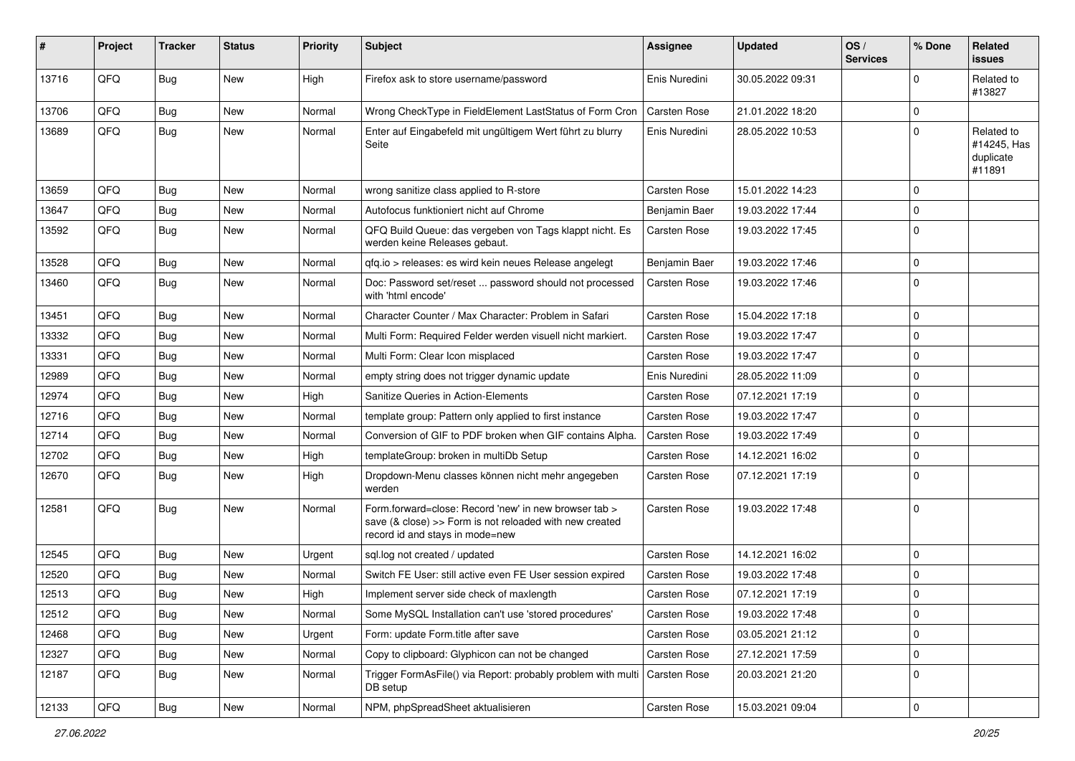| #     | Project | <b>Tracker</b> | <b>Status</b> | <b>Priority</b> | <b>Subject</b>                                                                                                                                                | <b>Assignee</b>     | <b>Updated</b>   | OS/<br><b>Services</b> | % Done      | Related<br><b>issues</b>                         |
|-------|---------|----------------|---------------|-----------------|---------------------------------------------------------------------------------------------------------------------------------------------------------------|---------------------|------------------|------------------------|-------------|--------------------------------------------------|
| 13716 | QFQ     | Bug            | New           | High            | Firefox ask to store username/password                                                                                                                        | Enis Nuredini       | 30.05.2022 09:31 |                        | $\Omega$    | Related to<br>#13827                             |
| 13706 | QFQ     | <b>Bug</b>     | New           | Normal          | Wrong CheckType in FieldElement LastStatus of Form Cron                                                                                                       | <b>Carsten Rose</b> | 21.01.2022 18:20 |                        | $\Omega$    |                                                  |
| 13689 | QFQ     | <b>Bug</b>     | New           | Normal          | Enter auf Eingabefeld mit ungültigem Wert führt zu blurry<br>Seite                                                                                            | Enis Nuredini       | 28.05.2022 10:53 |                        | $\Omega$    | Related to<br>#14245, Has<br>duplicate<br>#11891 |
| 13659 | QFQ     | Bug            | <b>New</b>    | Normal          | wrong sanitize class applied to R-store                                                                                                                       | Carsten Rose        | 15.01.2022 14:23 |                        | $\Omega$    |                                                  |
| 13647 | QFQ     | <b>Bug</b>     | New           | Normal          | Autofocus funktioniert nicht auf Chrome                                                                                                                       | Benjamin Baer       | 19.03.2022 17:44 |                        | $\Omega$    |                                                  |
| 13592 | QFQ     | Bug            | New           | Normal          | QFQ Build Queue: das vergeben von Tags klappt nicht. Es<br>werden keine Releases gebaut.                                                                      | Carsten Rose        | 19.03.2022 17:45 |                        | $\Omega$    |                                                  |
| 13528 | QFQ     | <b>Bug</b>     | <b>New</b>    | Normal          | qfq.io > releases: es wird kein neues Release angelegt                                                                                                        | Benjamin Baer       | 19.03.2022 17:46 |                        | $\Omega$    |                                                  |
| 13460 | QFQ     | Bug            | New           | Normal          | Doc: Password set/reset  password should not processed<br>with 'html encode'                                                                                  | Carsten Rose        | 19.03.2022 17:46 |                        | $\Omega$    |                                                  |
| 13451 | QFQ     | Bug            | <b>New</b>    | Normal          | Character Counter / Max Character: Problem in Safari                                                                                                          | Carsten Rose        | 15.04.2022 17:18 |                        | $\mathbf 0$ |                                                  |
| 13332 | QFQ     | Bug            | <b>New</b>    | Normal          | Multi Form: Required Felder werden visuell nicht markiert.                                                                                                    | Carsten Rose        | 19.03.2022 17:47 |                        | $\Omega$    |                                                  |
| 13331 | QFQ     | <b>Bug</b>     | <b>New</b>    | Normal          | Multi Form: Clear Icon misplaced                                                                                                                              | Carsten Rose        | 19.03.2022 17:47 |                        | $\Omega$    |                                                  |
| 12989 | QFQ     | Bug            | New           | Normal          | empty string does not trigger dynamic update                                                                                                                  | Enis Nuredini       | 28.05.2022 11:09 |                        | $\Omega$    |                                                  |
| 12974 | QFQ     | Bug            | <b>New</b>    | High            | Sanitize Queries in Action-Elements                                                                                                                           | Carsten Rose        | 07.12.2021 17:19 |                        | $\Omega$    |                                                  |
| 12716 | QFQ     | <b>Bug</b>     | <b>New</b>    | Normal          | template group: Pattern only applied to first instance                                                                                                        | Carsten Rose        | 19.03.2022 17:47 |                        | $\Omega$    |                                                  |
| 12714 | QFQ     | Bug            | New           | Normal          | Conversion of GIF to PDF broken when GIF contains Alpha.                                                                                                      | Carsten Rose        | 19.03.2022 17:49 |                        | $\Omega$    |                                                  |
| 12702 | QFQ     | <b>Bug</b>     | <b>New</b>    | High            | templateGroup: broken in multiDb Setup                                                                                                                        | Carsten Rose        | 14.12.2021 16:02 |                        | $\Omega$    |                                                  |
| 12670 | QFQ     | Bug            | New           | High            | Dropdown-Menu classes können nicht mehr angegeben<br>werden                                                                                                   | Carsten Rose        | 07.12.2021 17:19 |                        | $\Omega$    |                                                  |
| 12581 | QFQ     | <b>Bug</b>     | New           | Normal          | Form.forward=close: Record 'new' in new browser tab ><br>save $(8 \text{ close}) >>$ Form is not reloaded with new created<br>record id and stays in mode=new | Carsten Rose        | 19.03.2022 17:48 |                        | $\Omega$    |                                                  |
| 12545 | QFQ     | <b>Bug</b>     | <b>New</b>    | Urgent          | sql.log not created / updated                                                                                                                                 | Carsten Rose        | 14.12.2021 16:02 |                        | $\Omega$    |                                                  |
| 12520 | QFQ     | Bug            | New           | Normal          | Switch FE User: still active even FE User session expired                                                                                                     | Carsten Rose        | 19.03.2022 17:48 |                        | $\Omega$    |                                                  |
| 12513 | QFQ     | Bug            | <b>New</b>    | High            | Implement server side check of maxlength                                                                                                                      | Carsten Rose        | 07.12.2021 17:19 |                        | $\Omega$    |                                                  |
| 12512 | QFQ     | Bug            | New           | Normal          | Some MySQL Installation can't use 'stored procedures'                                                                                                         | Carsten Rose        | 19.03.2022 17:48 |                        | 0           |                                                  |
| 12468 | QFQ     | <b>Bug</b>     | New           | Urgent          | Form: update Form.title after save                                                                                                                            | Carsten Rose        | 03.05.2021 21:12 |                        | 0           |                                                  |
| 12327 | QFQ     | <b>Bug</b>     | New           | Normal          | Copy to clipboard: Glyphicon can not be changed                                                                                                               | Carsten Rose        | 27.12.2021 17:59 |                        | $\mathbf 0$ |                                                  |
| 12187 | QFQ     | <b>Bug</b>     | New           | Normal          | Trigger FormAsFile() via Report: probably problem with multi<br>DB setup                                                                                      | Carsten Rose        | 20.03.2021 21:20 |                        | 0           |                                                  |
| 12133 | QFQ     | Bug            | New           | Normal          | NPM, phpSpreadSheet aktualisieren                                                                                                                             | Carsten Rose        | 15.03.2021 09:04 |                        | $\pmb{0}$   |                                                  |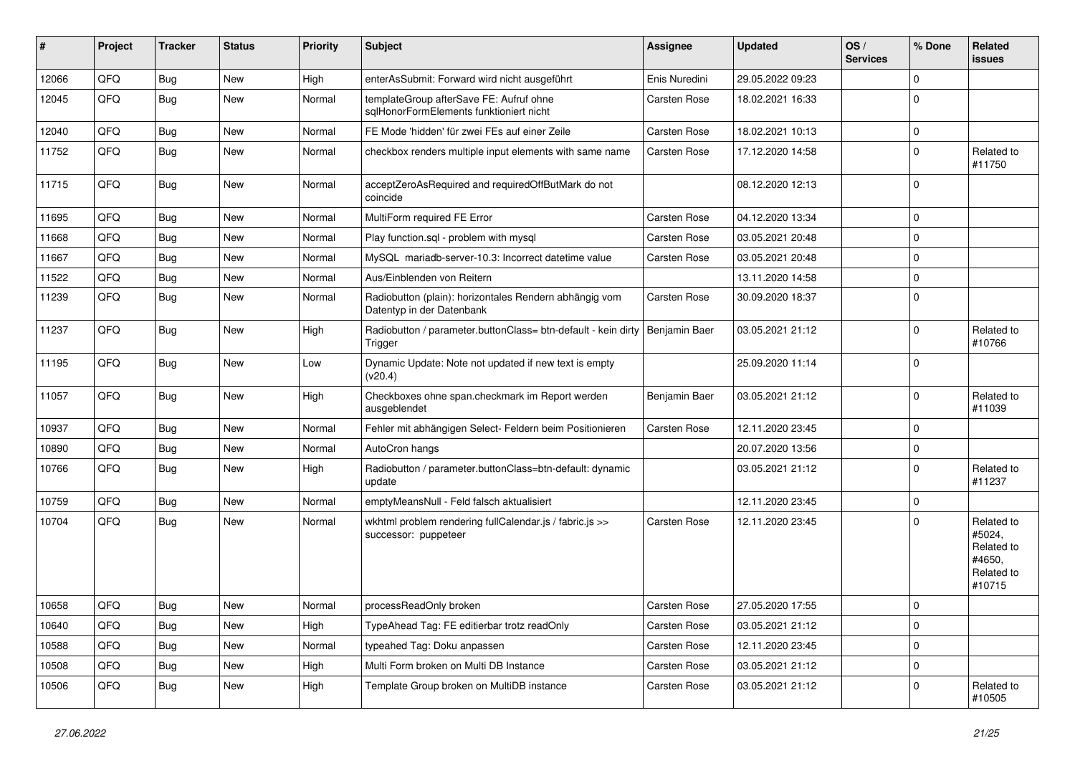| #     | Project | <b>Tracker</b> | <b>Status</b> | <b>Priority</b> | Subject                                                                             | <b>Assignee</b> | <b>Updated</b>   | OS/<br><b>Services</b> | % Done      | Related<br><b>issues</b>                                             |
|-------|---------|----------------|---------------|-----------------|-------------------------------------------------------------------------------------|-----------------|------------------|------------------------|-------------|----------------------------------------------------------------------|
| 12066 | QFQ     | Bug            | New           | High            | enterAsSubmit: Forward wird nicht ausgeführt                                        | Enis Nuredini   | 29.05.2022 09:23 |                        | $\Omega$    |                                                                      |
| 12045 | QFQ     | <b>Bug</b>     | <b>New</b>    | Normal          | templateGroup afterSave FE: Aufruf ohne<br>sqlHonorFormElements funktioniert nicht  | Carsten Rose    | 18.02.2021 16:33 |                        | $\Omega$    |                                                                      |
| 12040 | QFQ     | <b>Bug</b>     | <b>New</b>    | Normal          | FE Mode 'hidden' für zwei FEs auf einer Zeile                                       | Carsten Rose    | 18.02.2021 10:13 |                        | $\Omega$    |                                                                      |
| 11752 | QFQ     | Bug            | <b>New</b>    | Normal          | checkbox renders multiple input elements with same name                             | Carsten Rose    | 17.12.2020 14:58 |                        | $\Omega$    | Related to<br>#11750                                                 |
| 11715 | QFQ     | <b>Bug</b>     | New           | Normal          | acceptZeroAsRequired and requiredOffButMark do not<br>coincide                      |                 | 08.12.2020 12:13 |                        | $\Omega$    |                                                                      |
| 11695 | QFQ     | <b>Bug</b>     | <b>New</b>    | Normal          | MultiForm required FE Error                                                         | Carsten Rose    | 04.12.2020 13:34 |                        | $\Omega$    |                                                                      |
| 11668 | QFQ     | <b>Bug</b>     | <b>New</b>    | Normal          | Play function.sql - problem with mysql                                              | Carsten Rose    | 03.05.2021 20:48 |                        | $\Omega$    |                                                                      |
| 11667 | QFQ     | <b>Bug</b>     | <b>New</b>    | Normal          | MySQL mariadb-server-10.3: Incorrect datetime value                                 | Carsten Rose    | 03.05.2021 20:48 |                        | $\Omega$    |                                                                      |
| 11522 | QFQ     | <b>Bug</b>     | <b>New</b>    | Normal          | Aus/Einblenden von Reitern                                                          |                 | 13.11.2020 14:58 |                        | $\Omega$    |                                                                      |
| 11239 | QFQ     | <b>Bug</b>     | <b>New</b>    | Normal          | Radiobutton (plain): horizontales Rendern abhängig vom<br>Datentyp in der Datenbank | Carsten Rose    | 30.09.2020 18:37 |                        | $\Omega$    |                                                                      |
| 11237 | QFQ     | <b>Bug</b>     | New           | High            | Radiobutton / parameter.buttonClass= btn-default - kein dirty<br>Trigger            | Benjamin Baer   | 03.05.2021 21:12 |                        | $\Omega$    | Related to<br>#10766                                                 |
| 11195 | QFQ     | <b>Bug</b>     | <b>New</b>    | Low             | Dynamic Update: Note not updated if new text is empty<br>(v20.4)                    |                 | 25.09.2020 11:14 |                        | $\Omega$    |                                                                      |
| 11057 | QFQ     | Bug            | <b>New</b>    | High            | Checkboxes ohne span.checkmark im Report werden<br>ausgeblendet                     | Benjamin Baer   | 03.05.2021 21:12 |                        | $\Omega$    | Related to<br>#11039                                                 |
| 10937 | QFQ     | Bug            | <b>New</b>    | Normal          | Fehler mit abhängigen Select- Feldern beim Positionieren                            | Carsten Rose    | 12.11.2020 23:45 |                        | $\Omega$    |                                                                      |
| 10890 | QFQ     | Bug            | <b>New</b>    | Normal          | AutoCron hangs                                                                      |                 | 20.07.2020 13:56 |                        | $\Omega$    |                                                                      |
| 10766 | QFQ     | <b>Bug</b>     | <b>New</b>    | High            | Radiobutton / parameter.buttonClass=btn-default: dynamic<br>update                  |                 | 03.05.2021 21:12 |                        | $\Omega$    | Related to<br>#11237                                                 |
| 10759 | QFQ     | <b>Bug</b>     | <b>New</b>    | Normal          | emptyMeansNull - Feld falsch aktualisiert                                           |                 | 12.11.2020 23:45 |                        | $\Omega$    |                                                                      |
| 10704 | QFQ     | Bug            | New           | Normal          | wkhtml problem rendering fullCalendar.js / fabric.js >><br>successor: puppeteer     | Carsten Rose    | 12.11.2020 23:45 |                        | $\Omega$    | Related to<br>#5024,<br>Related to<br>#4650,<br>Related to<br>#10715 |
| 10658 | QFQ     | Bug            | New           | Normal          | processReadOnly broken                                                              | Carsten Rose    | 27.05.2020 17:55 |                        | 0           |                                                                      |
| 10640 | QFQ     | <b>Bug</b>     | New           | High            | TypeAhead Tag: FE editierbar trotz readOnly                                         | Carsten Rose    | 03.05.2021 21:12 |                        | $\mathbf 0$ |                                                                      |
| 10588 | QFQ     | <b>Bug</b>     | New           | Normal          | typeahed Tag: Doku anpassen                                                         | Carsten Rose    | 12.11.2020 23:45 |                        | 0           |                                                                      |
| 10508 | QFQ     | <b>Bug</b>     | New           | High            | Multi Form broken on Multi DB Instance                                              | Carsten Rose    | 03.05.2021 21:12 |                        | 0           |                                                                      |
| 10506 | QFQ     | Bug            | New           | High            | Template Group broken on MultiDB instance                                           | Carsten Rose    | 03.05.2021 21:12 |                        | 0           | Related to<br>#10505                                                 |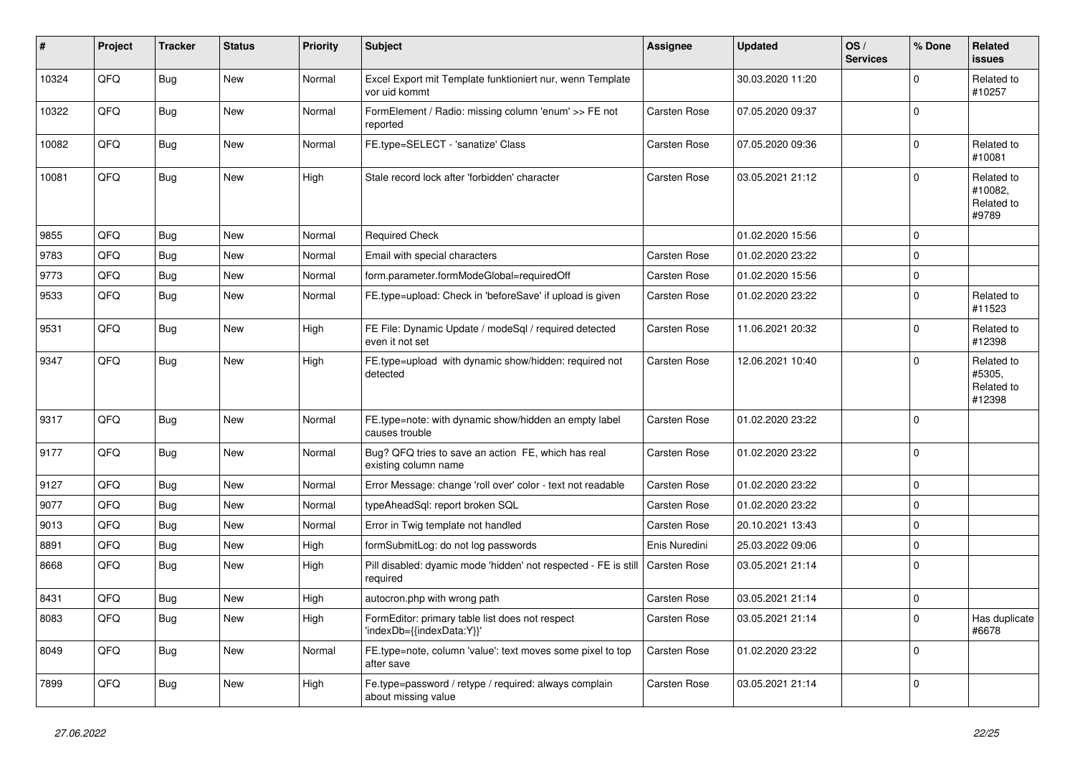| #     | Project | <b>Tracker</b> | <b>Status</b> | <b>Priority</b> | <b>Subject</b>                                                               | Assignee      | <b>Updated</b>   | OS/<br><b>Services</b> | % Done      | Related<br>issues                            |
|-------|---------|----------------|---------------|-----------------|------------------------------------------------------------------------------|---------------|------------------|------------------------|-------------|----------------------------------------------|
| 10324 | QFQ     | <b>Bug</b>     | New           | Normal          | Excel Export mit Template funktioniert nur, wenn Template<br>vor uid kommt   |               | 30.03.2020 11:20 |                        | $\Omega$    | Related to<br>#10257                         |
| 10322 | QFQ     | <b>Bug</b>     | New           | Normal          | FormElement / Radio: missing column 'enum' >> FE not<br>reported             | Carsten Rose  | 07.05.2020 09:37 |                        | $\Omega$    |                                              |
| 10082 | QFQ     | Bug            | <b>New</b>    | Normal          | FE.type=SELECT - 'sanatize' Class                                            | Carsten Rose  | 07.05.2020 09:36 |                        | $\Omega$    | Related to<br>#10081                         |
| 10081 | QFQ     | <b>Bug</b>     | New           | High            | Stale record lock after 'forbidden' character                                | Carsten Rose  | 03.05.2021 21:12 |                        | $\Omega$    | Related to<br>#10082,<br>Related to<br>#9789 |
| 9855  | QFQ     | <b>Bug</b>     | <b>New</b>    | Normal          | <b>Required Check</b>                                                        |               | 01.02.2020 15:56 |                        | $\Omega$    |                                              |
| 9783  | QFQ     | <b>Bug</b>     | <b>New</b>    | Normal          | Email with special characters                                                | Carsten Rose  | 01.02.2020 23:22 |                        | $\Omega$    |                                              |
| 9773  | QFQ     | Bug            | <b>New</b>    | Normal          | form.parameter.formModeGlobal=requiredOff                                    | Carsten Rose  | 01.02.2020 15:56 |                        | $\mathbf 0$ |                                              |
| 9533  | QFQ     | Bug            | New           | Normal          | FE.type=upload: Check in 'beforeSave' if upload is given                     | Carsten Rose  | 01.02.2020 23:22 |                        | $\mathbf 0$ | Related to<br>#11523                         |
| 9531  | QFQ     | <b>Bug</b>     | <b>New</b>    | High            | FE File: Dynamic Update / modeSql / required detected<br>even it not set     | Carsten Rose  | 11.06.2021 20:32 |                        | $\mathbf 0$ | Related to<br>#12398                         |
| 9347  | QFQ     | <b>Bug</b>     | <b>New</b>    | High            | FE.type=upload with dynamic show/hidden: required not<br>detected            | Carsten Rose  | 12.06.2021 10:40 |                        | $\Omega$    | Related to<br>#5305,<br>Related to<br>#12398 |
| 9317  | QFQ     | Bug            | <b>New</b>    | Normal          | FE.type=note: with dynamic show/hidden an empty label<br>causes trouble      | Carsten Rose  | 01.02.2020 23:22 |                        | $\Omega$    |                                              |
| 9177  | QFQ     | <b>Bug</b>     | <b>New</b>    | Normal          | Bug? QFQ tries to save an action FE, which has real<br>existing column name  | Carsten Rose  | 01.02.2020 23:22 |                        | $\Omega$    |                                              |
| 9127  | QFQ     | Bug            | <b>New</b>    | Normal          | Error Message: change 'roll over' color - text not readable                  | Carsten Rose  | 01.02.2020 23:22 |                        | $\Omega$    |                                              |
| 9077  | QFQ     | Bug            | <b>New</b>    | Normal          | typeAheadSql: report broken SQL                                              | Carsten Rose  | 01.02.2020 23:22 |                        | 0           |                                              |
| 9013  | QFQ     | Bug            | <b>New</b>    | Normal          | Error in Twig template not handled                                           | Carsten Rose  | 20.10.2021 13:43 |                        | $\mathbf 0$ |                                              |
| 8891  | QFQ     | Bug            | New           | High            | formSubmitLog: do not log passwords                                          | Enis Nuredini | 25.03.2022 09:06 |                        | $\mathbf 0$ |                                              |
| 8668  | QFQ     | Bug            | New           | High            | Pill disabled: dyamic mode 'hidden' not respected - FE is still<br>required  | Carsten Rose  | 03.05.2021 21:14 |                        | $\Omega$    |                                              |
| 8431  | QFQ     | Bug            | <b>New</b>    | High            | autocron.php with wrong path                                                 | Carsten Rose  | 03.05.2021 21:14 |                        | $\mathbf 0$ |                                              |
| 8083  | QFQ     | <b>Bug</b>     | <b>New</b>    | High            | FormEditor: primary table list does not respect<br>'indexDb={{indexData:Y}}' | Carsten Rose  | 03.05.2021 21:14 |                        | $\Omega$    | Has duplicate<br>#6678                       |
| 8049  | QFQ     | <b>Bug</b>     | <b>New</b>    | Normal          | FE.type=note, column 'value': text moves some pixel to top<br>after save     | Carsten Rose  | 01.02.2020 23:22 |                        | $\Omega$    |                                              |
| 7899  | QFQ     | <b>Bug</b>     | New           | High            | Fe.type=password / retype / required: always complain<br>about missing value | Carsten Rose  | 03.05.2021 21:14 |                        | $\Omega$    |                                              |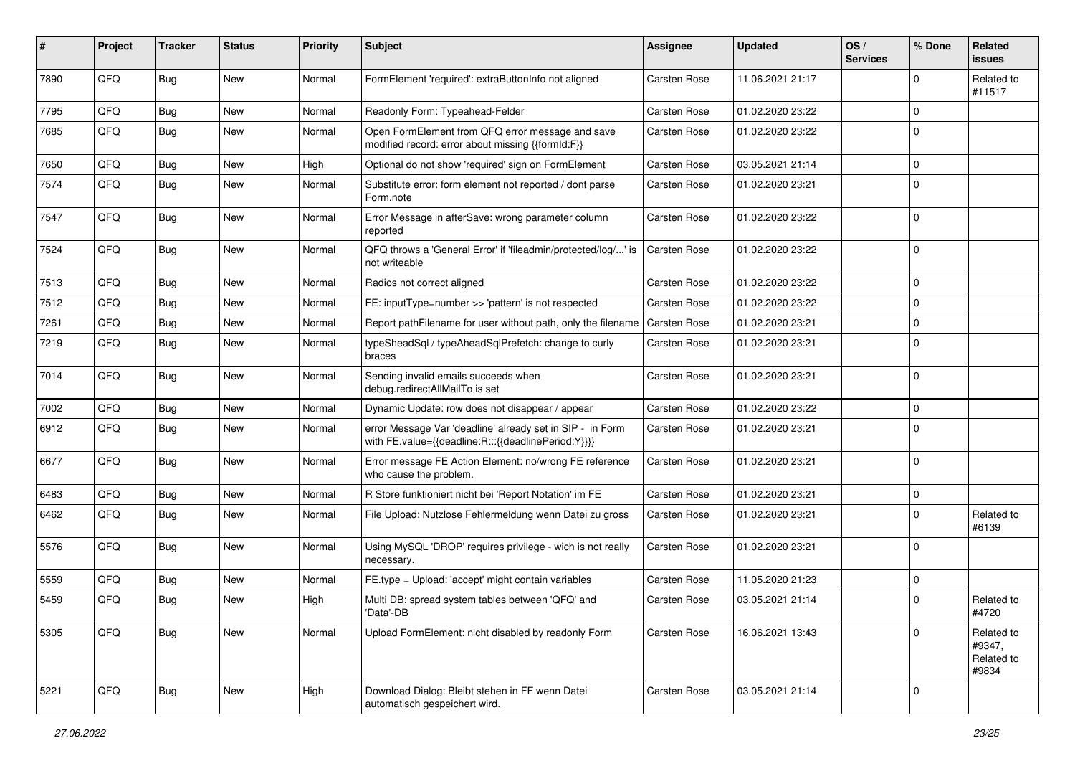| #    | Project | <b>Tracker</b> | <b>Status</b> | <b>Priority</b> | <b>Subject</b>                                                                                                   | <b>Assignee</b> | <b>Updated</b>   | OS/<br><b>Services</b> | % Done      | <b>Related</b><br>issues                    |
|------|---------|----------------|---------------|-----------------|------------------------------------------------------------------------------------------------------------------|-----------------|------------------|------------------------|-------------|---------------------------------------------|
| 7890 | QFQ     | Bug            | New           | Normal          | FormElement 'required': extraButtonInfo not aligned                                                              | Carsten Rose    | 11.06.2021 21:17 |                        | $\Omega$    | Related to<br>#11517                        |
| 7795 | QFQ     | <b>Bug</b>     | New           | Normal          | Readonly Form: Typeahead-Felder                                                                                  | Carsten Rose    | 01.02.2020 23:22 |                        | $\Omega$    |                                             |
| 7685 | QFQ     | <b>Bug</b>     | New           | Normal          | Open FormElement from QFQ error message and save<br>modified record: error about missing {{formId:F}}            | Carsten Rose    | 01.02.2020 23:22 |                        | $\Omega$    |                                             |
| 7650 | QFQ     | Bug            | <b>New</b>    | High            | Optional do not show 'required' sign on FormElement                                                              | Carsten Rose    | 03.05.2021 21:14 |                        | $\Omega$    |                                             |
| 7574 | QFQ     | Bug            | New           | Normal          | Substitute error: form element not reported / dont parse<br>Form.note                                            | Carsten Rose    | 01.02.2020 23:21 |                        | $\mathbf 0$ |                                             |
| 7547 | QFQ     | Bug            | <b>New</b>    | Normal          | Error Message in afterSave: wrong parameter column<br>reported                                                   | Carsten Rose    | 01.02.2020 23:22 |                        | $\mathbf 0$ |                                             |
| 7524 | QFQ     | Bug            | New           | Normal          | QFQ throws a 'General Error' if 'fileadmin/protected/log/' is<br>not writeable                                   | Carsten Rose    | 01.02.2020 23:22 |                        | $\mathbf 0$ |                                             |
| 7513 | QFQ     | <b>Bug</b>     | New           | Normal          | Radios not correct aligned                                                                                       | Carsten Rose    | 01.02.2020 23:22 |                        | 0           |                                             |
| 7512 | QFQ     | <b>Bug</b>     | <b>New</b>    | Normal          | FE: inputType=number >> 'pattern' is not respected                                                               | Carsten Rose    | 01.02.2020 23:22 |                        | $\Omega$    |                                             |
| 7261 | QFQ     | <b>Bug</b>     | <b>New</b>    | Normal          | Report pathFilename for user without path, only the filename                                                     | Carsten Rose    | 01.02.2020 23:21 |                        | 0           |                                             |
| 7219 | QFQ     | Bug            | New           | Normal          | typeSheadSql / typeAheadSqlPrefetch: change to curly<br>braces                                                   | Carsten Rose    | 01.02.2020 23:21 |                        | $\Omega$    |                                             |
| 7014 | QFQ     | Bug            | New           | Normal          | Sending invalid emails succeeds when<br>debug.redirectAllMailTo is set                                           | Carsten Rose    | 01.02.2020 23:21 |                        | $\mathbf 0$ |                                             |
| 7002 | QFQ     | <b>Bug</b>     | New           | Normal          | Dynamic Update: row does not disappear / appear                                                                  | Carsten Rose    | 01.02.2020 23:22 |                        | $\mathbf 0$ |                                             |
| 6912 | QFQ     | Bug            | New           | Normal          | error Message Var 'deadline' already set in SIP - in Form<br>with FE.value={{deadline:R:::{{deadlinePeriod:Y}}}} | Carsten Rose    | 01.02.2020 23:21 |                        | $\Omega$    |                                             |
| 6677 | QFQ     | Bug            | <b>New</b>    | Normal          | Error message FE Action Element: no/wrong FE reference<br>who cause the problem.                                 | Carsten Rose    | 01.02.2020 23:21 |                        | $\mathbf 0$ |                                             |
| 6483 | QFQ     | <b>Bug</b>     | <b>New</b>    | Normal          | R Store funktioniert nicht bei 'Report Notation' im FE                                                           | Carsten Rose    | 01.02.2020 23:21 |                        | $\mathbf 0$ |                                             |
| 6462 | QFQ     | Bug            | New           | Normal          | File Upload: Nutzlose Fehlermeldung wenn Datei zu gross                                                          | Carsten Rose    | 01.02.2020 23:21 |                        | $\mathbf 0$ | Related to<br>#6139                         |
| 5576 | QFQ     | <b>Bug</b>     | New           | Normal          | Using MySQL 'DROP' requires privilege - wich is not really<br>necessary.                                         | Carsten Rose    | 01.02.2020 23:21 |                        | $\mathbf 0$ |                                             |
| 5559 | QFQ     | <b>Bug</b>     | <b>New</b>    | Normal          | FE.type = Upload: 'accept' might contain variables                                                               | Carsten Rose    | 11.05.2020 21:23 |                        | 0           |                                             |
| 5459 | QFQ     | <b>Bug</b>     | New           | High            | Multi DB: spread system tables between 'QFQ' and<br>'Data'-DB                                                    | Carsten Rose    | 03.05.2021 21:14 |                        | $\mathbf 0$ | Related to<br>#4720                         |
| 5305 | QFQ     | <b>Bug</b>     | New           | Normal          | Upload FormElement: nicht disabled by readonly Form                                                              | Carsten Rose    | 16.06.2021 13:43 |                        | $\mathbf 0$ | Related to<br>#9347,<br>Related to<br>#9834 |
| 5221 | QFQ     | <b>Bug</b>     | New           | High            | Download Dialog: Bleibt stehen in FF wenn Datei<br>automatisch gespeichert wird.                                 | Carsten Rose    | 03.05.2021 21:14 |                        | 0           |                                             |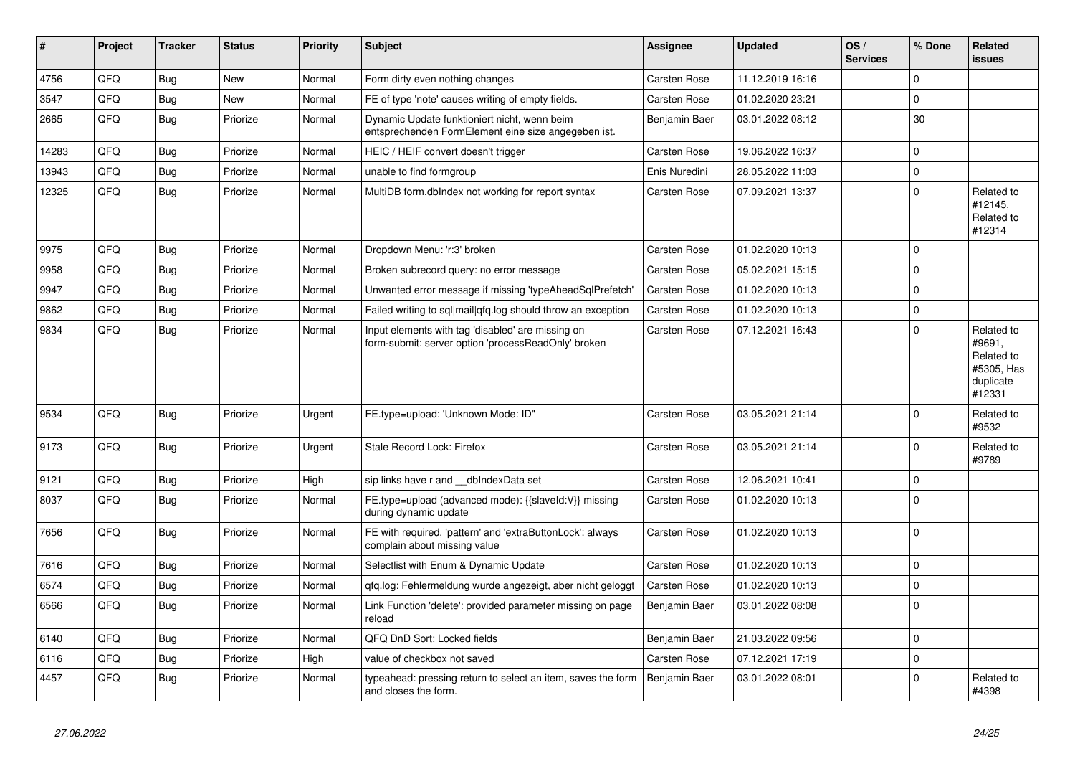| #     | Project | <b>Tracker</b> | <b>Status</b> | <b>Priority</b> | <b>Subject</b>                                                                                           | Assignee      | <b>Updated</b>   | OS/<br><b>Services</b> | % Done      | <b>Related</b><br><b>issues</b>                                         |
|-------|---------|----------------|---------------|-----------------|----------------------------------------------------------------------------------------------------------|---------------|------------------|------------------------|-------------|-------------------------------------------------------------------------|
| 4756  | QFQ     | Bug            | <b>New</b>    | Normal          | Form dirty even nothing changes                                                                          | Carsten Rose  | 11.12.2019 16:16 |                        | $\mathbf 0$ |                                                                         |
| 3547  | QFQ     | Bug            | <b>New</b>    | Normal          | FE of type 'note' causes writing of empty fields.                                                        | Carsten Rose  | 01.02.2020 23:21 |                        | $\Omega$    |                                                                         |
| 2665  | QFQ     | <b>Bug</b>     | Priorize      | Normal          | Dynamic Update funktioniert nicht, wenn beim<br>entsprechenden FormElement eine size angegeben ist.      | Benjamin Baer | 03.01.2022 08:12 |                        | 30          |                                                                         |
| 14283 | QFQ     | <b>Bug</b>     | Priorize      | Normal          | HEIC / HEIF convert doesn't trigger                                                                      | Carsten Rose  | 19.06.2022 16:37 |                        | 0           |                                                                         |
| 13943 | QFQ     | Bug            | Priorize      | Normal          | unable to find formgroup                                                                                 | Enis Nuredini | 28.05.2022 11:03 |                        | $\mathbf 0$ |                                                                         |
| 12325 | QFQ     | Bug            | Priorize      | Normal          | MultiDB form.dblndex not working for report syntax                                                       | Carsten Rose  | 07.09.2021 13:37 |                        | $\mathbf 0$ | Related to<br>#12145,<br>Related to<br>#12314                           |
| 9975  | QFQ     | Bug            | Priorize      | Normal          | Dropdown Menu: 'r:3' broken                                                                              | Carsten Rose  | 01.02.2020 10:13 |                        | 0           |                                                                         |
| 9958  | QFQ     | Bug            | Priorize      | Normal          | Broken subrecord query: no error message                                                                 | Carsten Rose  | 05.02.2021 15:15 |                        | 0           |                                                                         |
| 9947  | QFQ     | Bug            | Priorize      | Normal          | Unwanted error message if missing 'typeAheadSqlPrefetch'                                                 | Carsten Rose  | 01.02.2020 10:13 |                        | 0           |                                                                         |
| 9862  | QFQ     | <b>Bug</b>     | Priorize      | Normal          | Failed writing to sql mail qfq.log should throw an exception                                             | Carsten Rose  | 01.02.2020 10:13 |                        | $\mathbf 0$ |                                                                         |
| 9834  | QFQ     | Bug            | Priorize      | Normal          | Input elements with tag 'disabled' are missing on<br>form-submit: server option 'processReadOnly' broken | Carsten Rose  | 07.12.2021 16:43 |                        | 0           | Related to<br>#9691,<br>Related to<br>#5305, Has<br>duplicate<br>#12331 |
| 9534  | QFQ     | <b>Bug</b>     | Priorize      | Urgent          | FE.type=upload: 'Unknown Mode: ID"                                                                       | Carsten Rose  | 03.05.2021 21:14 |                        | $\Omega$    | Related to<br>#9532                                                     |
| 9173  | QFQ     | <b>Bug</b>     | Priorize      | Urgent          | Stale Record Lock: Firefox                                                                               | Carsten Rose  | 03.05.2021 21:14 |                        | 0           | Related to<br>#9789                                                     |
| 9121  | QFQ     | Bug            | Priorize      | High            | sip links have r and __dbIndexData set                                                                   | Carsten Rose  | 12.06.2021 10:41 |                        | $\mathbf 0$ |                                                                         |
| 8037  | QFQ     | Bug            | Priorize      | Normal          | FE.type=upload (advanced mode): {{slaveId:V}} missing<br>during dynamic update                           | Carsten Rose  | 01.02.2020 10:13 |                        | 0           |                                                                         |
| 7656  | QFQ     | <b>Bug</b>     | Priorize      | Normal          | FE with required, 'pattern' and 'extraButtonLock': always<br>complain about missing value                | Carsten Rose  | 01.02.2020 10:13 |                        | $\mathbf 0$ |                                                                         |
| 7616  | QFQ     | <b>Bug</b>     | Priorize      | Normal          | Selectlist with Enum & Dynamic Update                                                                    | Carsten Rose  | 01.02.2020 10:13 |                        | $\Omega$    |                                                                         |
| 6574  | QFQ     | Bug            | Priorize      | Normal          | qfq.log: Fehlermeldung wurde angezeigt, aber nicht geloggt                                               | Carsten Rose  | 01.02.2020 10:13 |                        | $\Omega$    |                                                                         |
| 6566  | QFQ     | <b>Bug</b>     | Priorize      | Normal          | Link Function 'delete': provided parameter missing on page<br>reload                                     | Benjamin Baer | 03.01.2022 08:08 |                        | $\Omega$    |                                                                         |
| 6140  | QFQ     | <b>Bug</b>     | Priorize      | Normal          | QFQ DnD Sort: Locked fields                                                                              | Benjamin Baer | 21.03.2022 09:56 |                        | 0           |                                                                         |
| 6116  | QFQ     | <b>Bug</b>     | Priorize      | High            | value of checkbox not saved                                                                              | Carsten Rose  | 07.12.2021 17:19 |                        | 0           |                                                                         |
| 4457  | QFQ     | <b>Bug</b>     | Priorize      | Normal          | typeahead: pressing return to select an item, saves the form<br>and closes the form.                     | Benjamin Baer | 03.01.2022 08:01 |                        | 0           | Related to<br>#4398                                                     |